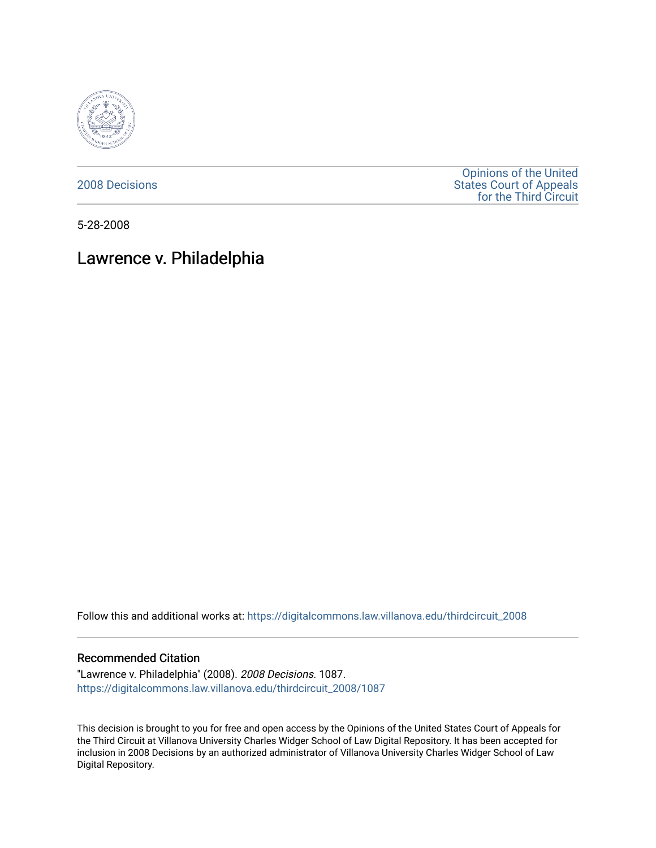

[2008 Decisions](https://digitalcommons.law.villanova.edu/thirdcircuit_2008)

[Opinions of the United](https://digitalcommons.law.villanova.edu/thirdcircuit)  [States Court of Appeals](https://digitalcommons.law.villanova.edu/thirdcircuit)  [for the Third Circuit](https://digitalcommons.law.villanova.edu/thirdcircuit) 

5-28-2008

# Lawrence v. Philadelphia

Follow this and additional works at: [https://digitalcommons.law.villanova.edu/thirdcircuit\\_2008](https://digitalcommons.law.villanova.edu/thirdcircuit_2008?utm_source=digitalcommons.law.villanova.edu%2Fthirdcircuit_2008%2F1087&utm_medium=PDF&utm_campaign=PDFCoverPages) 

## Recommended Citation

"Lawrence v. Philadelphia" (2008). 2008 Decisions. 1087. [https://digitalcommons.law.villanova.edu/thirdcircuit\\_2008/1087](https://digitalcommons.law.villanova.edu/thirdcircuit_2008/1087?utm_source=digitalcommons.law.villanova.edu%2Fthirdcircuit_2008%2F1087&utm_medium=PDF&utm_campaign=PDFCoverPages) 

This decision is brought to you for free and open access by the Opinions of the United States Court of Appeals for the Third Circuit at Villanova University Charles Widger School of Law Digital Repository. It has been accepted for inclusion in 2008 Decisions by an authorized administrator of Villanova University Charles Widger School of Law Digital Repository.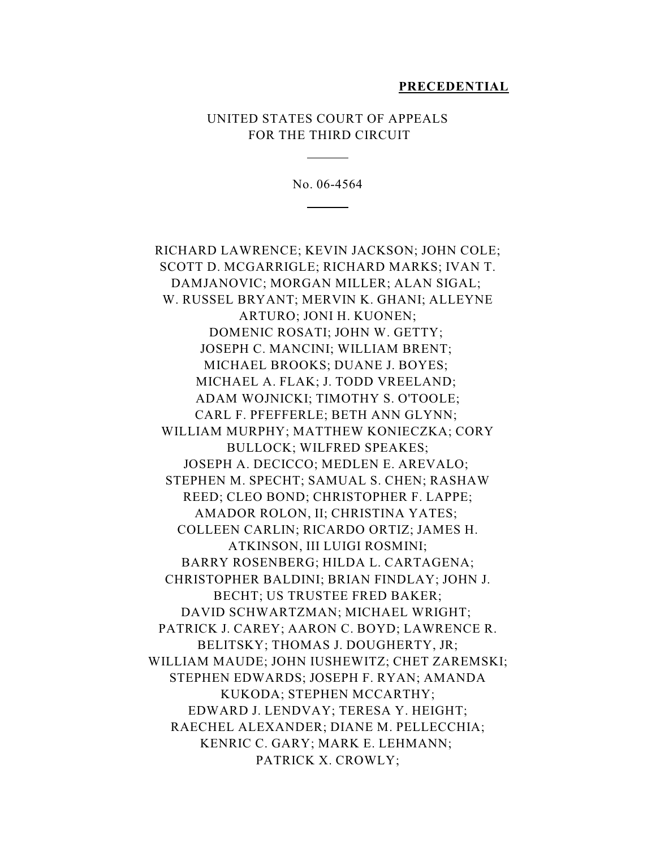#### **PRECEDENTIAL**

## UNITED STATES COURT OF APPEALS FOR THE THIRD CIRCUIT

 $\overline{a}$ 

 $\overline{a}$ 

No. 06-4564

RICHARD LAWRENCE; KEVIN JACKSON; JOHN COLE; SCOTT D. MCGARRIGLE; RICHARD MARKS; IVAN T. DAMJANOVIC; MORGAN MILLER; ALAN SIGAL; W. RUSSEL BRYANT; MERVIN K. GHANI; ALLEYNE ARTURO; JONI H. KUONEN; DOMENIC ROSATI; JOHN W. GETTY; JOSEPH C. MANCINI; WILLIAM BRENT; MICHAEL BROOKS; DUANE J. BOYES; MICHAEL A. FLAK; J. TODD VREELAND; ADAM WOJNICKI; TIMOTHY S. O'TOOLE; CARL F. PFEFFERLE; BETH ANN GLYNN; WILLIAM MURPHY; MATTHEW KONIECZKA; CORY BULLOCK; WILFRED SPEAKES; JOSEPH A. DECICCO; MEDLEN E. AREVALO; STEPHEN M. SPECHT; SAMUAL S. CHEN; RASHAW REED; CLEO BOND; CHRISTOPHER F. LAPPE; AMADOR ROLON, II; CHRISTINA YATES; COLLEEN CARLIN; RICARDO ORTIZ; JAMES H. ATKINSON, III LUIGI ROSMINI; BARRY ROSENBERG; HILDA L. CARTAGENA; CHRISTOPHER BALDINI; BRIAN FINDLAY; JOHN J. BECHT; US TRUSTEE FRED BAKER; DAVID SCHWARTZMAN; MICHAEL WRIGHT; PATRICK J. CAREY; AARON C. BOYD; LAWRENCE R. BELITSKY; THOMAS J. DOUGHERTY, JR; WILLIAM MAUDE; JOHN IUSHEWITZ; CHET ZAREMSKI; STEPHEN EDWARDS; JOSEPH F. RYAN; AMANDA KUKODA; STEPHEN MCCARTHY; EDWARD J. LENDVAY; TERESA Y. HEIGHT; RAECHEL ALEXANDER; DIANE M. PELLECCHIA; KENRIC C. GARY; MARK E. LEHMANN; PATRICK X. CROWLY;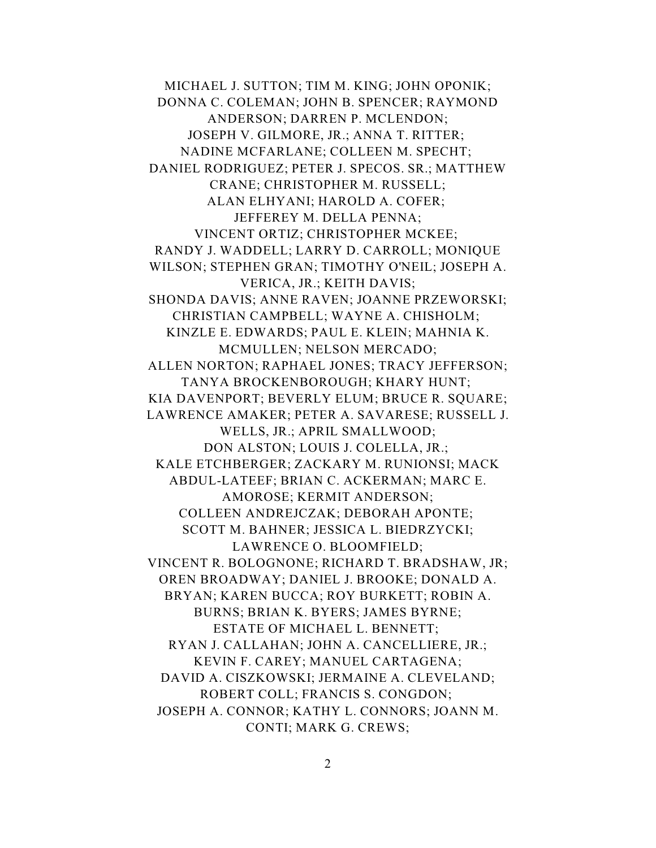MICHAEL J. SUTTON; TIM M. KING; JOHN OPONIK; DONNA C. COLEMAN; JOHN B. SPENCER; RAYMOND ANDERSON; DARREN P. MCLENDON; JOSEPH V. GILMORE, JR.; ANNA T. RITTER; NADINE MCFARLANE; COLLEEN M. SPECHT; DANIEL RODRIGUEZ; PETER J. SPECOS. SR.; MATTHEW CRANE; CHRISTOPHER M. RUSSELL; ALAN ELHYANI; HAROLD A. COFER; JEFFEREY M. DELLA PENNA; VINCENT ORTIZ; CHRISTOPHER MCKEE; RANDY J. WADDELL; LARRY D. CARROLL; MONIQUE WILSON; STEPHEN GRAN; TIMOTHY O'NEIL; JOSEPH A. VERICA, JR.; KEITH DAVIS; SHONDA DAVIS; ANNE RAVEN; JOANNE PRZEWORSKI; CHRISTIAN CAMPBELL; WAYNE A. CHISHOLM; KINZLE E. EDWARDS; PAUL E. KLEIN; MAHNIA K. MCMULLEN; NELSON MERCADO; ALLEN NORTON; RAPHAEL JONES; TRACY JEFFERSON; TANYA BROCKENBOROUGH; KHARY HUNT; KIA DAVENPORT; BEVERLY ELUM; BRUCE R. SQUARE; LAWRENCE AMAKER; PETER A. SAVARESE; RUSSELL J. WELLS, JR.; APRIL SMALLWOOD; DON ALSTON; LOUIS J. COLELLA, JR.; KALE ETCHBERGER; ZACKARY M. RUNIONSI; MACK ABDUL-LATEEF; BRIAN C. ACKERMAN; MARC E. AMOROSE; KERMIT ANDERSON; COLLEEN ANDREJCZAK; DEBORAH APONTE; SCOTT M. BAHNER; JESSICA L. BIEDRZYCKI; LAWRENCE O. BLOOMFIELD; VINCENT R. BOLOGNONE; RICHARD T. BRADSHAW, JR; OREN BROADWAY; DANIEL J. BROOKE; DONALD A. BRYAN; KAREN BUCCA; ROY BURKETT; ROBIN A. BURNS; BRIAN K. BYERS; JAMES BYRNE; ESTATE OF MICHAEL L. BENNETT; RYAN J. CALLAHAN; JOHN A. CANCELLIERE, JR.; KEVIN F. CAREY; MANUEL CARTAGENA; DAVID A. CISZKOWSKI; JERMAINE A. CLEVELAND; ROBERT COLL; FRANCIS S. CONGDON; JOSEPH A. CONNOR; KATHY L. CONNORS; JOANN M. CONTI; MARK G. CREWS;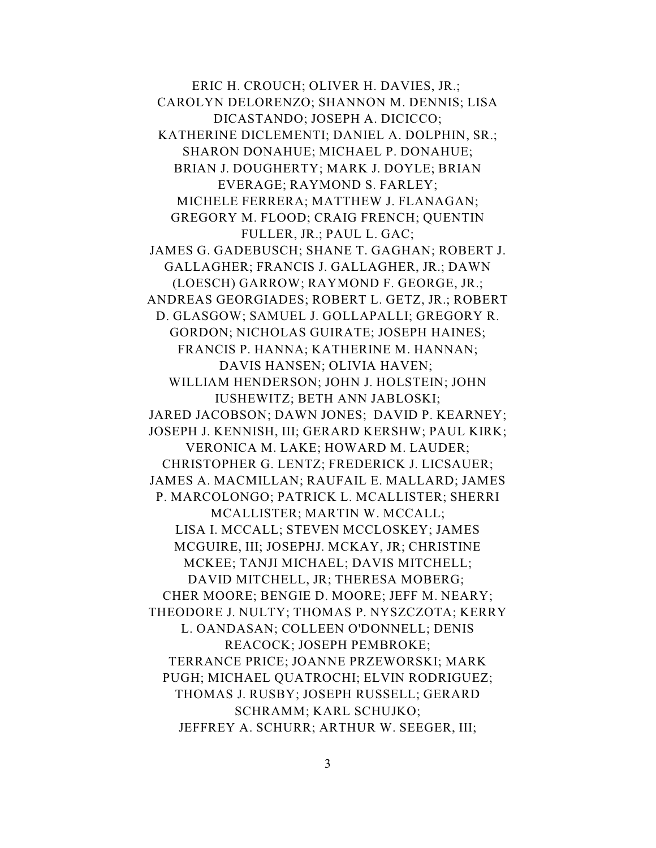ERIC H. CROUCH; OLIVER H. DAVIES, JR.; CAROLYN DELORENZO; SHANNON M. DENNIS; LISA DICASTANDO; JOSEPH A. DICICCO; KATHERINE DICLEMENTI; DANIEL A. DOLPHIN, SR.; SHARON DONAHUE; MICHAEL P. DONAHUE; BRIAN J. DOUGHERTY; MARK J. DOYLE; BRIAN EVERAGE; RAYMOND S. FARLEY; MICHELE FERRERA; MATTHEW J. FLANAGAN; GREGORY M. FLOOD; CRAIG FRENCH; QUENTIN FULLER, JR.; PAUL L. GAC; JAMES G. GADEBUSCH; SHANE T. GAGHAN; ROBERT J. GALLAGHER; FRANCIS J. GALLAGHER, JR.; DAWN (LOESCH) GARROW; RAYMOND F. GEORGE, JR.; ANDREAS GEORGIADES; ROBERT L. GETZ, JR.; ROBERT D. GLASGOW; SAMUEL J. GOLLAPALLI; GREGORY R. GORDON; NICHOLAS GUIRATE; JOSEPH HAINES; FRANCIS P. HANNA; KATHERINE M. HANNAN; DAVIS HANSEN; OLIVIA HAVEN; WILLIAM HENDERSON; JOHN J. HOLSTEIN; JOHN IUSHEWITZ; BETH ANN JABLOSKI; JARED JACOBSON; DAWN JONES; DAVID P. KEARNEY; JOSEPH J. KENNISH, III; GERARD KERSHW; PAUL KIRK; VERONICA M. LAKE; HOWARD M. LAUDER; CHRISTOPHER G. LENTZ; FREDERICK J. LICSAUER; JAMES A. MACMILLAN; RAUFAIL E. MALLARD; JAMES P. MARCOLONGO; PATRICK L. MCALLISTER; SHERRI MCALLISTER; MARTIN W. MCCALL; LISA I. MCCALL; STEVEN MCCLOSKEY; JAMES MCGUIRE, III; JOSEPHJ. MCKAY, JR; CHRISTINE MCKEE; TANJI MICHAEL; DAVIS MITCHELL; DAVID MITCHELL, JR; THERESA MOBERG; CHER MOORE; BENGIE D. MOORE; JEFF M. NEARY; THEODORE J. NULTY; THOMAS P. NYSZCZOTA; KERRY L. OANDASAN; COLLEEN O'DONNELL; DENIS REACOCK; JOSEPH PEMBROKE; TERRANCE PRICE; JOANNE PRZEWORSKI; MARK PUGH; MICHAEL QUATROCHI; ELVIN RODRIGUEZ; THOMAS J. RUSBY; JOSEPH RUSSELL; GERARD SCHRAMM; KARL SCHUJKO; JEFFREY A. SCHURR; ARTHUR W. SEEGER, III;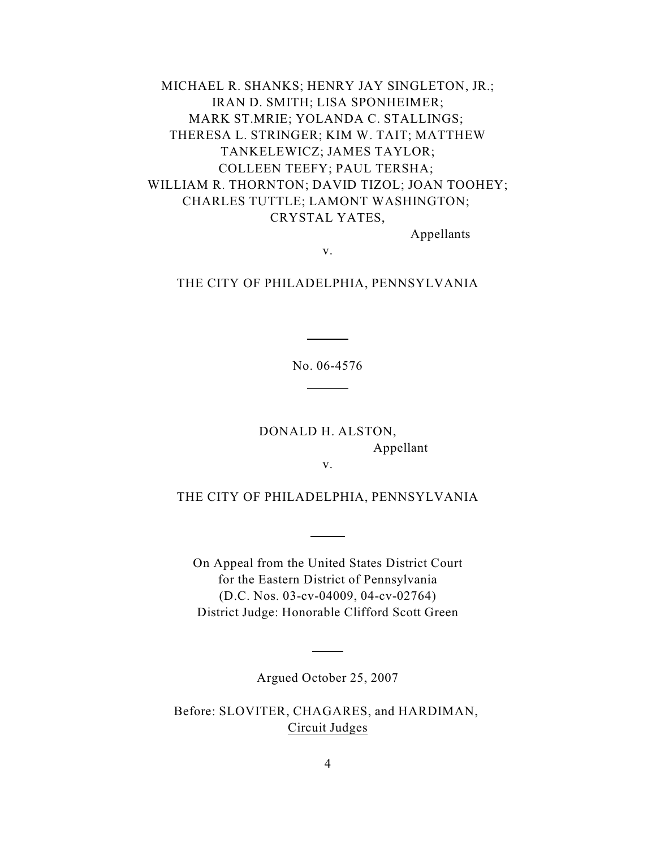MICHAEL R. SHANKS; HENRY JAY SINGLETON, JR.; IRAN D. SMITH; LISA SPONHEIMER; MARK ST.MRIE; YOLANDA C. STALLINGS; THERESA L. STRINGER; KIM W. TAIT; MATTHEW TANKELEWICZ; JAMES TAYLOR; COLLEEN TEEFY; PAUL TERSHA; WILLIAM R. THORNTON; DAVID TIZOL; JOAN TOOHEY; CHARLES TUTTLE; LAMONT WASHINGTON; CRYSTAL YATES,

Appellants

v.

THE CITY OF PHILADELPHIA, PENNSYLVANIA

No. 06-4576

 $\overline{a}$ 

 $\overline{a}$ 

DONALD H. ALSTON, Appellant

v.

THE CITY OF PHILADELPHIA, PENNSYLVANIA

 $\overline{a}$ 

On Appeal from the United States District Court for the Eastern District of Pennsylvania (D.C. Nos. 03-cv-04009, 04-cv-02764) District Judge: Honorable Clifford Scott Green

Argued October 25, 2007

 $\overline{a}$ 

Before: SLOVITER, CHAGARES, and HARDIMAN, Circuit Judges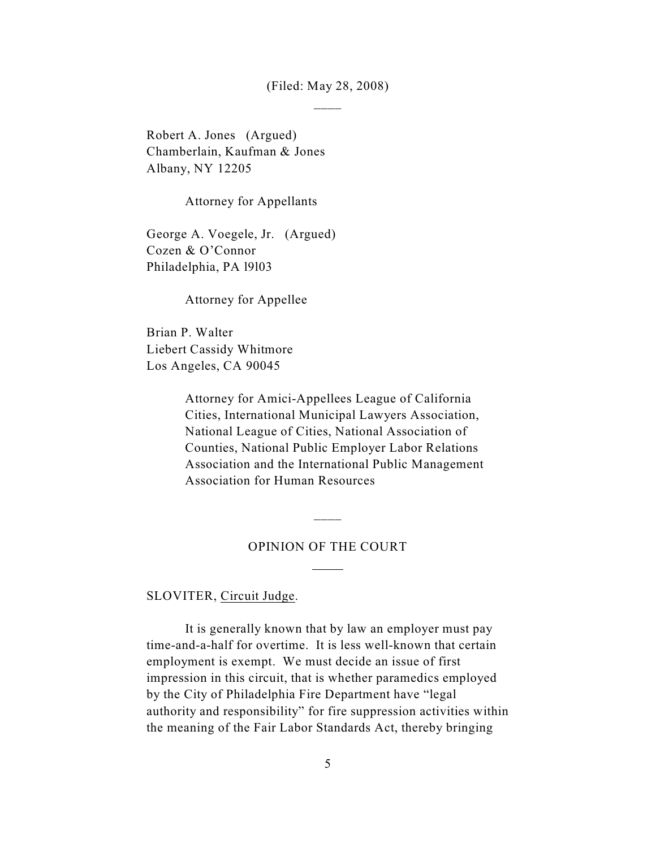(Filed: May 28, 2008)  $\overline{\phantom{a}}$ 

Robert A. Jones (Argued) Chamberlain, Kaufman & Jones Albany, NY 12205

Attorney for Appellants

George A. Voegele, Jr. (Argued) Cozen & O'Connor Philadelphia, PA l9l03

Attorney for Appellee

Brian P. Walter Liebert Cassidy Whitmore Los Angeles, CA 90045

> Attorney for Amici-Appellees League of California Cities, International Municipal Lawyers Association, National League of Cities, National Association of Counties, National Public Employer Labor Relations Association and the International Public Management Association for Human Resources

#### OPINION OF THE COURT

 $\overline{a}$ 

 $\overline{\phantom{a}}$ 

SLOVITER, Circuit Judge.

It is generally known that by law an employer must pay time-and-a-half for overtime. It is less well-known that certain employment is exempt. We must decide an issue of first impression in this circuit, that is whether paramedics employed by the City of Philadelphia Fire Department have "legal authority and responsibility" for fire suppression activities within the meaning of the Fair Labor Standards Act, thereby bringing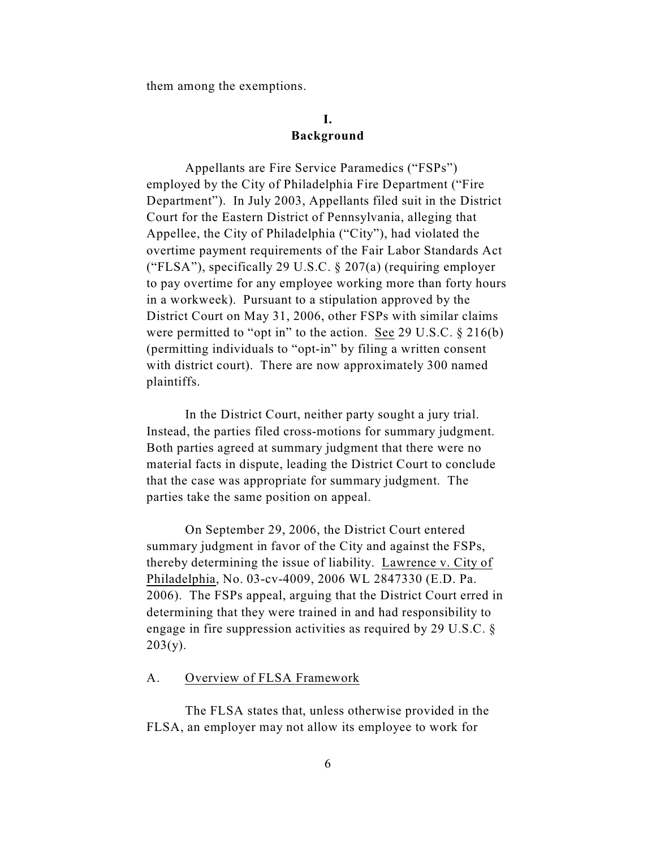them among the exemptions.

## **I. Background**

Appellants are Fire Service Paramedics ("FSPs") employed by the City of Philadelphia Fire Department ("Fire Department"). In July 2003, Appellants filed suit in the District Court for the Eastern District of Pennsylvania, alleging that Appellee, the City of Philadelphia ("City"), had violated the overtime payment requirements of the Fair Labor Standards Act ("FLSA"), specifically 29 U.S.C. § 207(a) (requiring employer to pay overtime for any employee working more than forty hours in a workweek). Pursuant to a stipulation approved by the District Court on May 31, 2006, other FSPs with similar claims were permitted to "opt in" to the action. See 29 U.S.C. § 216(b) (permitting individuals to "opt-in" by filing a written consent with district court). There are now approximately 300 named plaintiffs.

In the District Court, neither party sought a jury trial. Instead, the parties filed cross-motions for summary judgment. Both parties agreed at summary judgment that there were no material facts in dispute, leading the District Court to conclude that the case was appropriate for summary judgment. The parties take the same position on appeal.

On September 29, 2006, the District Court entered summary judgment in favor of the City and against the FSPs, thereby determining the issue of liability. Lawrence v. City of Philadelphia, No. 03-cv-4009, 2006 WL 2847330 (E.D. Pa. 2006). The FSPs appeal, arguing that the District Court erred in determining that they were trained in and had responsibility to engage in fire suppression activities as required by 29 U.S.C. §  $203(y)$ .

## A. Overview of FLSA Framework

The FLSA states that, unless otherwise provided in the FLSA, an employer may not allow its employee to work for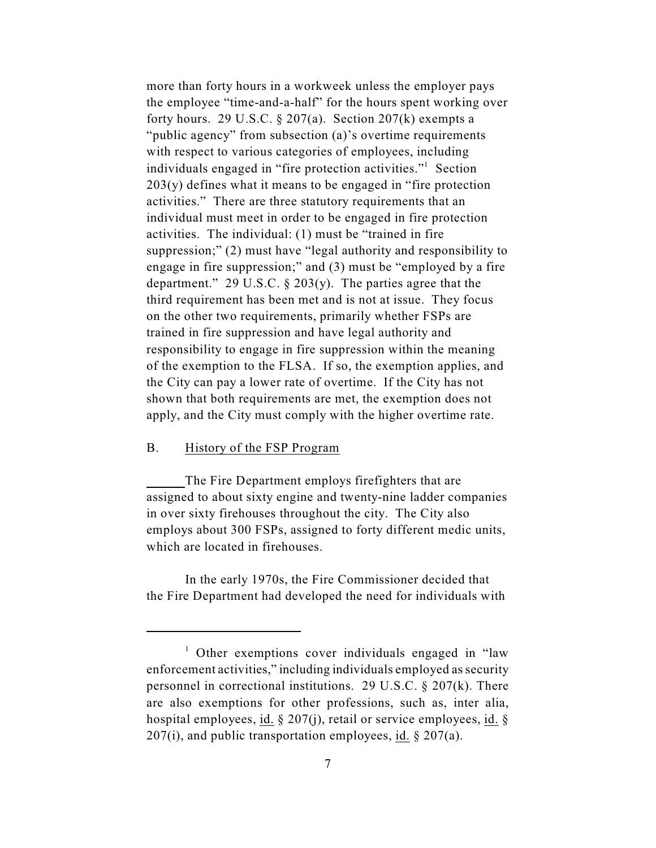more than forty hours in a workweek unless the employer pays the employee "time-and-a-half" for the hours spent working over forty hours. 29 U.S.C.  $\S 207(a)$ . Section 207(k) exempts a "public agency" from subsection (a)'s overtime requirements with respect to various categories of employees, including individuals engaged in "fire protection activities."<sup>1</sup> Section  $203(y)$  defines what it means to be engaged in "fire protection" activities." There are three statutory requirements that an individual must meet in order to be engaged in fire protection activities. The individual: (1) must be "trained in fire suppression;" (2) must have "legal authority and responsibility to engage in fire suppression;" and (3) must be "employed by a fire department." 29 U.S.C.  $\S 203(y)$ . The parties agree that the third requirement has been met and is not at issue. They focus on the other two requirements, primarily whether FSPs are trained in fire suppression and have legal authority and responsibility to engage in fire suppression within the meaning of the exemption to the FLSA. If so, the exemption applies, and the City can pay a lower rate of overtime. If the City has not shown that both requirements are met, the exemption does not apply, and the City must comply with the higher overtime rate.

## B. History of the FSP Program

The Fire Department employs firefighters that are assigned to about sixty engine and twenty-nine ladder companies in over sixty firehouses throughout the city. The City also employs about 300 FSPs, assigned to forty different medic units, which are located in firehouses.

In the early 1970s, the Fire Commissioner decided that the Fire Department had developed the need for individuals with

 $\frac{1}{1}$  Other exemptions cover individuals engaged in "law" enforcement activities," including individuals employed as security personnel in correctional institutions. 29 U.S.C. § 207(k). There are also exemptions for other professions, such as, inter alia, hospital employees, id.  $\S$  207(j), retail or service employees, id.  $\S$  $207(i)$ , and public transportation employees, id. § 207(a).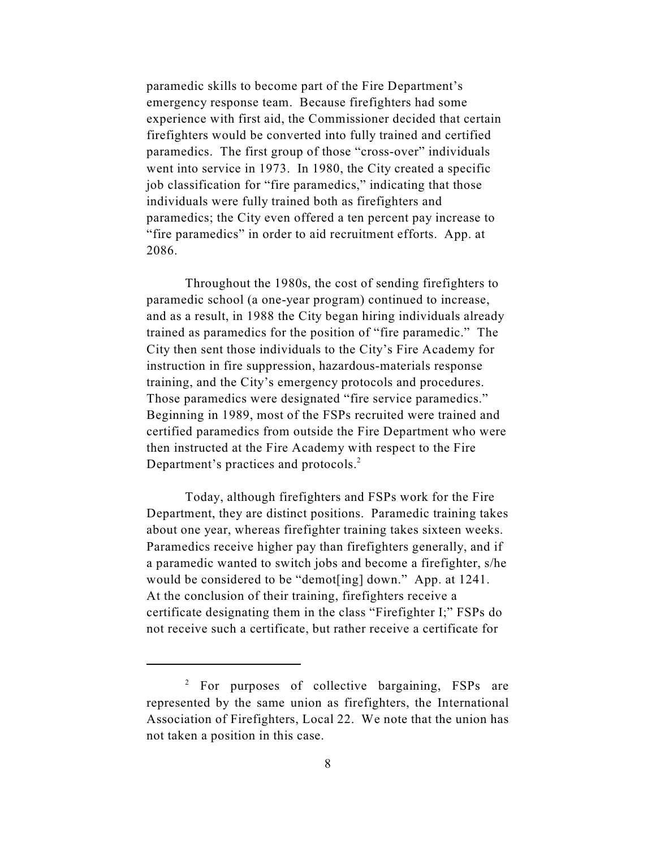paramedic skills to become part of the Fire Department's emergency response team. Because firefighters had some experience with first aid, the Commissioner decided that certain firefighters would be converted into fully trained and certified paramedics. The first group of those "cross-over" individuals went into service in 1973. In 1980, the City created a specific job classification for "fire paramedics," indicating that those individuals were fully trained both as firefighters and paramedics; the City even offered a ten percent pay increase to "fire paramedics" in order to aid recruitment efforts. App. at 2086.

Throughout the 1980s, the cost of sending firefighters to paramedic school (a one-year program) continued to increase, and as a result, in 1988 the City began hiring individuals already trained as paramedics for the position of "fire paramedic." The City then sent those individuals to the City's Fire Academy for instruction in fire suppression, hazardous-materials response training, and the City's emergency protocols and procedures. Those paramedics were designated "fire service paramedics." Beginning in 1989, most of the FSPs recruited were trained and certified paramedics from outside the Fire Department who were then instructed at the Fire Academy with respect to the Fire Department's practices and protocols.<sup>2</sup>

Today, although firefighters and FSPs work for the Fire Department, they are distinct positions. Paramedic training takes about one year, whereas firefighter training takes sixteen weeks. Paramedics receive higher pay than firefighters generally, and if a paramedic wanted to switch jobs and become a firefighter, s/he would be considered to be "demot[ing] down." App. at 1241. At the conclusion of their training, firefighters receive a certificate designating them in the class "Firefighter I;" FSPs do not receive such a certificate, but rather receive a certificate for

 $\frac{1}{2}$  For purposes of collective bargaining, FSPs are represented by the same union as firefighters, the International Association of Firefighters, Local 22. We note that the union has not taken a position in this case.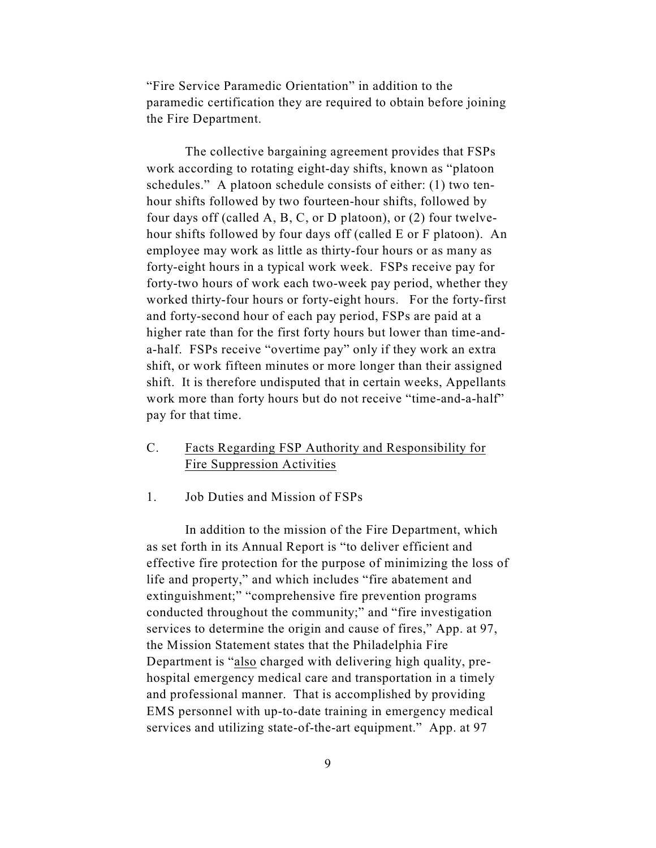"Fire Service Paramedic Orientation" in addition to the paramedic certification they are required to obtain before joining the Fire Department.

The collective bargaining agreement provides that FSPs work according to rotating eight-day shifts, known as "platoon schedules." A platoon schedule consists of either: (1) two tenhour shifts followed by two fourteen-hour shifts, followed by four days off (called A, B, C, or D platoon), or (2) four twelvehour shifts followed by four days off (called E or F platoon). An employee may work as little as thirty-four hours or as many as forty-eight hours in a typical work week. FSPs receive pay for forty-two hours of work each two-week pay period, whether they worked thirty-four hours or forty-eight hours. For the forty-first and forty-second hour of each pay period, FSPs are paid at a higher rate than for the first forty hours but lower than time-anda-half. FSPs receive "overtime pay" only if they work an extra shift, or work fifteen minutes or more longer than their assigned shift. It is therefore undisputed that in certain weeks, Appellants work more than forty hours but do not receive "time-and-a-half" pay for that time.

C. Facts Regarding FSP Authority and Responsibility for Fire Suppression Activities

1. Job Duties and Mission of FSPs

In addition to the mission of the Fire Department, which as set forth in its Annual Report is "to deliver efficient and effective fire protection for the purpose of minimizing the loss of life and property," and which includes "fire abatement and extinguishment;" "comprehensive fire prevention programs conducted throughout the community;" and "fire investigation services to determine the origin and cause of fires," App. at 97, the Mission Statement states that the Philadelphia Fire Department is "also charged with delivering high quality, prehospital emergency medical care and transportation in a timely and professional manner. That is accomplished by providing EMS personnel with up-to-date training in emergency medical services and utilizing state-of-the-art equipment." App. at 97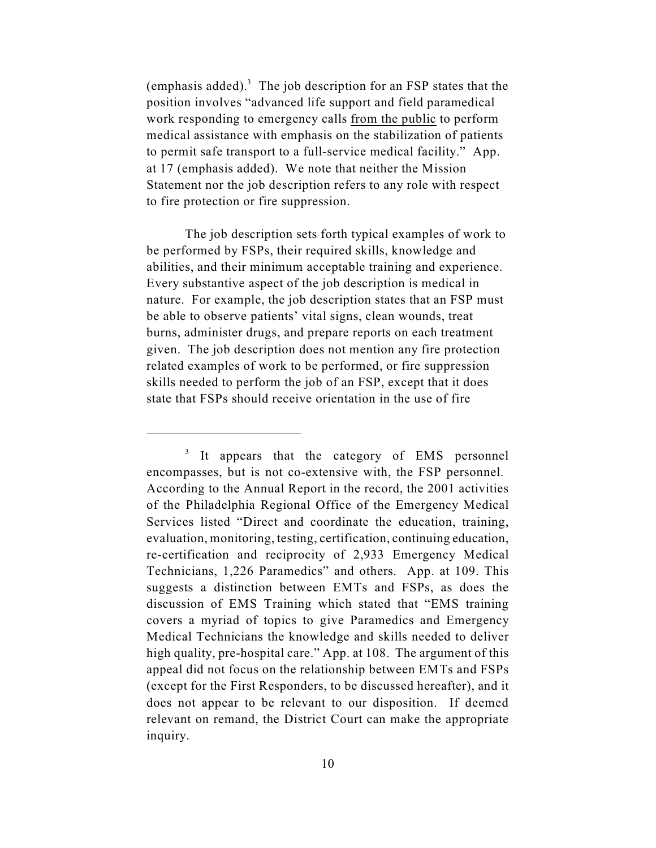(emphasis added).<sup>3</sup> The job description for an FSP states that the position involves "advanced life support and field paramedical work responding to emergency calls from the public to perform medical assistance with emphasis on the stabilization of patients to permit safe transport to a full-service medical facility." App. at 17 (emphasis added). We note that neither the Mission Statement nor the job description refers to any role with respect to fire protection or fire suppression.

The job description sets forth typical examples of work to be performed by FSPs, their required skills, knowledge and abilities, and their minimum acceptable training and experience. Every substantive aspect of the job description is medical in nature. For example, the job description states that an FSP must be able to observe patients' vital signs, clean wounds, treat burns, administer drugs, and prepare reports on each treatment given. The job description does not mention any fire protection related examples of work to be performed, or fire suppression skills needed to perform the job of an FSP, except that it does state that FSPs should receive orientation in the use of fire

 $\frac{3}{1}$  It appears that the category of EMS personnel encompasses, but is not co-extensive with, the FSP personnel. According to the Annual Report in the record, the 2001 activities of the Philadelphia Regional Office of the Emergency Medical Services listed "Direct and coordinate the education, training, evaluation, monitoring, testing, certification, continuing education, re-certification and reciprocity of 2,933 Emergency Medical Technicians, 1,226 Paramedics" and others. App. at 109. This suggests a distinction between EMTs and FSPs, as does the discussion of EMS Training which stated that "EMS training covers a myriad of topics to give Paramedics and Emergency Medical Technicians the knowledge and skills needed to deliver high quality, pre-hospital care." App. at 108. The argument of this appeal did not focus on the relationship between EMTs and FSPs (except for the First Responders, to be discussed hereafter), and it does not appear to be relevant to our disposition. If deemed relevant on remand, the District Court can make the appropriate inquiry.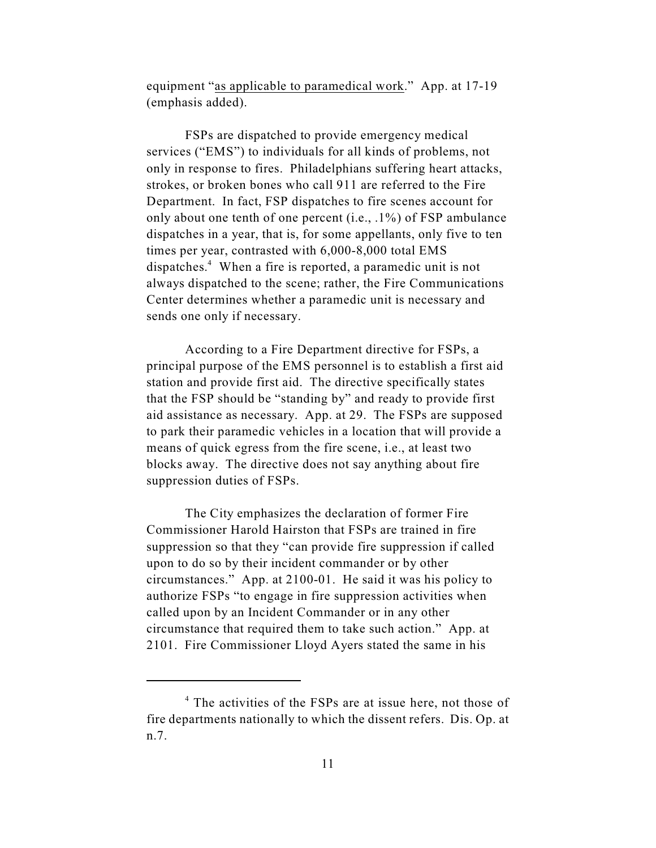equipment "as applicable to paramedical work." App. at 17-19 (emphasis added).

FSPs are dispatched to provide emergency medical services ("EMS") to individuals for all kinds of problems, not only in response to fires. Philadelphians suffering heart attacks, strokes, or broken bones who call 911 are referred to the Fire Department. In fact, FSP dispatches to fire scenes account for only about one tenth of one percent (i.e., .1%) of FSP ambulance dispatches in a year, that is, for some appellants, only five to ten times per year, contrasted with 6,000-8,000 total EMS dispatches. $4$  When a fire is reported, a paramedic unit is not always dispatched to the scene; rather, the Fire Communications Center determines whether a paramedic unit is necessary and sends one only if necessary.

According to a Fire Department directive for FSPs, a principal purpose of the EMS personnel is to establish a first aid station and provide first aid. The directive specifically states that the FSP should be "standing by" and ready to provide first aid assistance as necessary. App. at 29. The FSPs are supposed to park their paramedic vehicles in a location that will provide a means of quick egress from the fire scene, i.e., at least two blocks away. The directive does not say anything about fire suppression duties of FSPs.

The City emphasizes the declaration of former Fire Commissioner Harold Hairston that FSPs are trained in fire suppression so that they "can provide fire suppression if called upon to do so by their incident commander or by other circumstances." App. at 2100-01. He said it was his policy to authorize FSPs "to engage in fire suppression activities when called upon by an Incident Commander or in any other circumstance that required them to take such action." App. at 2101. Fire Commissioner Lloyd Ayers stated the same in his

 $4$  The activities of the FSPs are at issue here, not those of fire departments nationally to which the dissent refers. Dis. Op. at n.7.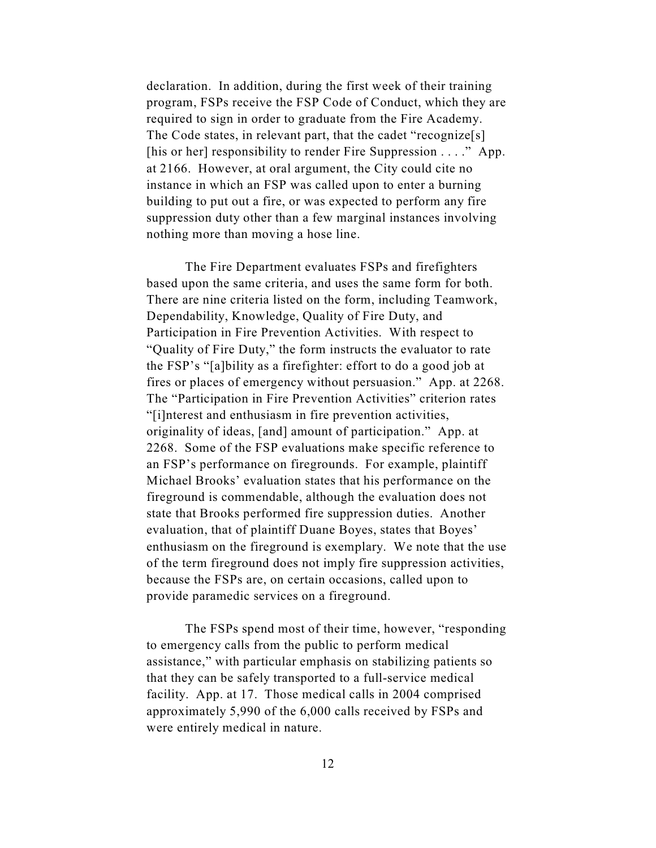declaration. In addition, during the first week of their training program, FSPs receive the FSP Code of Conduct, which they are required to sign in order to graduate from the Fire Academy. The Code states, in relevant part, that the cadet "recognize[s] [his or her] responsibility to render Fire Suppression . . . ." App. at 2166. However, at oral argument, the City could cite no instance in which an FSP was called upon to enter a burning building to put out a fire, or was expected to perform any fire suppression duty other than a few marginal instances involving nothing more than moving a hose line.

The Fire Department evaluates FSPs and firefighters based upon the same criteria, and uses the same form for both. There are nine criteria listed on the form, including Teamwork, Dependability, Knowledge, Quality of Fire Duty, and Participation in Fire Prevention Activities. With respect to "Quality of Fire Duty," the form instructs the evaluator to rate the FSP's "[a]bility as a firefighter: effort to do a good job at fires or places of emergency without persuasion." App. at 2268. The "Participation in Fire Prevention Activities" criterion rates "[i]nterest and enthusiasm in fire prevention activities, originality of ideas, [and] amount of participation." App. at 2268. Some of the FSP evaluations make specific reference to an FSP's performance on firegrounds. For example, plaintiff Michael Brooks' evaluation states that his performance on the fireground is commendable, although the evaluation does not state that Brooks performed fire suppression duties. Another evaluation, that of plaintiff Duane Boyes, states that Boyes' enthusiasm on the fireground is exemplary. We note that the use of the term fireground does not imply fire suppression activities, because the FSPs are, on certain occasions, called upon to provide paramedic services on a fireground.

The FSPs spend most of their time, however, "responding to emergency calls from the public to perform medical assistance," with particular emphasis on stabilizing patients so that they can be safely transported to a full-service medical facility. App. at 17. Those medical calls in 2004 comprised approximately 5,990 of the 6,000 calls received by FSPs and were entirely medical in nature.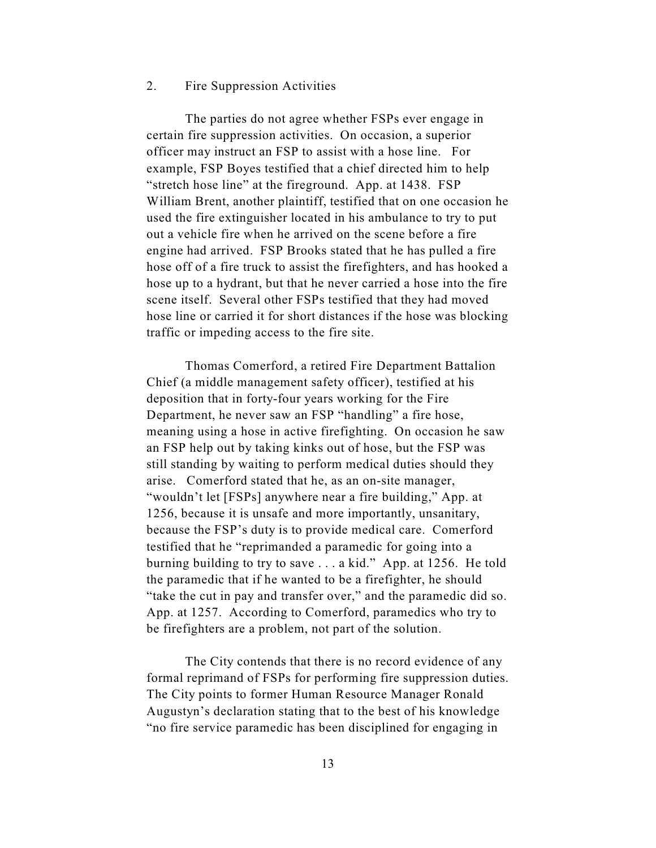## 2. Fire Suppression Activities

The parties do not agree whether FSPs ever engage in certain fire suppression activities. On occasion, a superior officer may instruct an FSP to assist with a hose line. For example, FSP Boyes testified that a chief directed him to help "stretch hose line" at the fireground. App. at 1438. FSP William Brent, another plaintiff, testified that on one occasion he used the fire extinguisher located in his ambulance to try to put out a vehicle fire when he arrived on the scene before a fire engine had arrived. FSP Brooks stated that he has pulled a fire hose off of a fire truck to assist the firefighters, and has hooked a hose up to a hydrant, but that he never carried a hose into the fire scene itself. Several other FSPs testified that they had moved hose line or carried it for short distances if the hose was blocking traffic or impeding access to the fire site.

Thomas Comerford, a retired Fire Department Battalion Chief (a middle management safety officer), testified at his deposition that in forty-four years working for the Fire Department, he never saw an FSP "handling" a fire hose, meaning using a hose in active firefighting. On occasion he saw an FSP help out by taking kinks out of hose, but the FSP was still standing by waiting to perform medical duties should they arise. Comerford stated that he, as an on-site manager, "wouldn't let [FSPs] anywhere near a fire building," App. at 1256, because it is unsafe and more importantly, unsanitary, because the FSP's duty is to provide medical care. Comerford testified that he "reprimanded a paramedic for going into a burning building to try to save . . . a kid." App. at 1256. He told the paramedic that if he wanted to be a firefighter, he should "take the cut in pay and transfer over," and the paramedic did so. App. at 1257. According to Comerford, paramedics who try to be firefighters are a problem, not part of the solution.

The City contends that there is no record evidence of any formal reprimand of FSPs for performing fire suppression duties. The City points to former Human Resource Manager Ronald Augustyn's declaration stating that to the best of his knowledge "no fire service paramedic has been disciplined for engaging in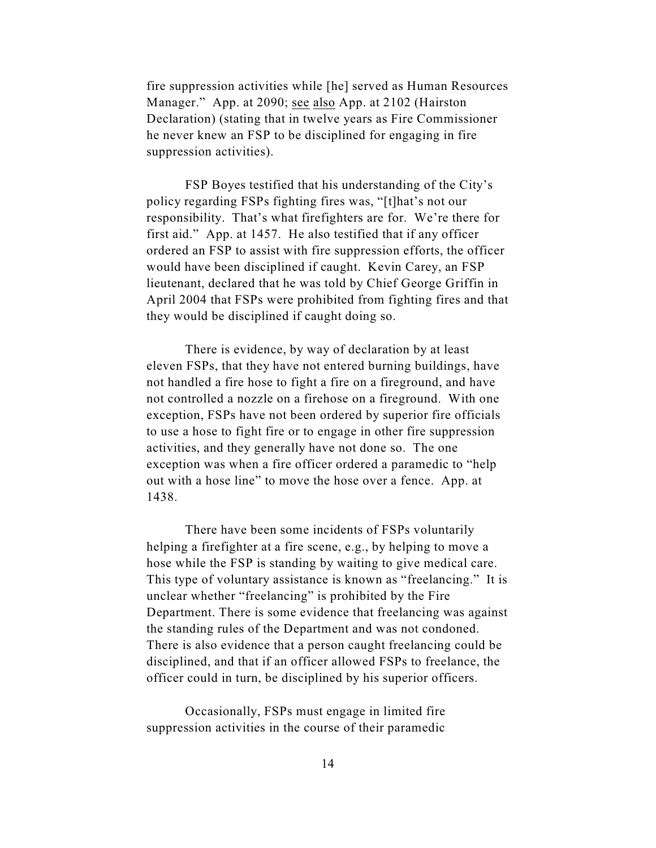fire suppression activities while [he] served as Human Resources Manager." App. at 2090; see also App. at 2102 (Hairston Declaration) (stating that in twelve years as Fire Commissioner he never knew an FSP to be disciplined for engaging in fire suppression activities).

FSP Boyes testified that his understanding of the City's policy regarding FSPs fighting fires was, "[t]hat's not our responsibility. That's what firefighters are for. We're there for first aid." App. at 1457. He also testified that if any officer ordered an FSP to assist with fire suppression efforts, the officer would have been disciplined if caught. Kevin Carey, an FSP lieutenant, declared that he was told by Chief George Griffin in April 2004 that FSPs were prohibited from fighting fires and that they would be disciplined if caught doing so.

There is evidence, by way of declaration by at least eleven FSPs, that they have not entered burning buildings, have not handled a fire hose to fight a fire on a fireground, and have not controlled a nozzle on a firehose on a fireground. With one exception, FSPs have not been ordered by superior fire officials to use a hose to fight fire or to engage in other fire suppression activities, and they generally have not done so. The one exception was when a fire officer ordered a paramedic to "help out with a hose line" to move the hose over a fence. App. at 1438.

There have been some incidents of FSPs voluntarily helping a firefighter at a fire scene, e.g., by helping to move a hose while the FSP is standing by waiting to give medical care. This type of voluntary assistance is known as "freelancing." It is unclear whether "freelancing" is prohibited by the Fire Department. There is some evidence that freelancing was against the standing rules of the Department and was not condoned. There is also evidence that a person caught freelancing could be disciplined, and that if an officer allowed FSPs to freelance, the officer could in turn, be disciplined by his superior officers.

Occasionally, FSPs must engage in limited fire suppression activities in the course of their paramedic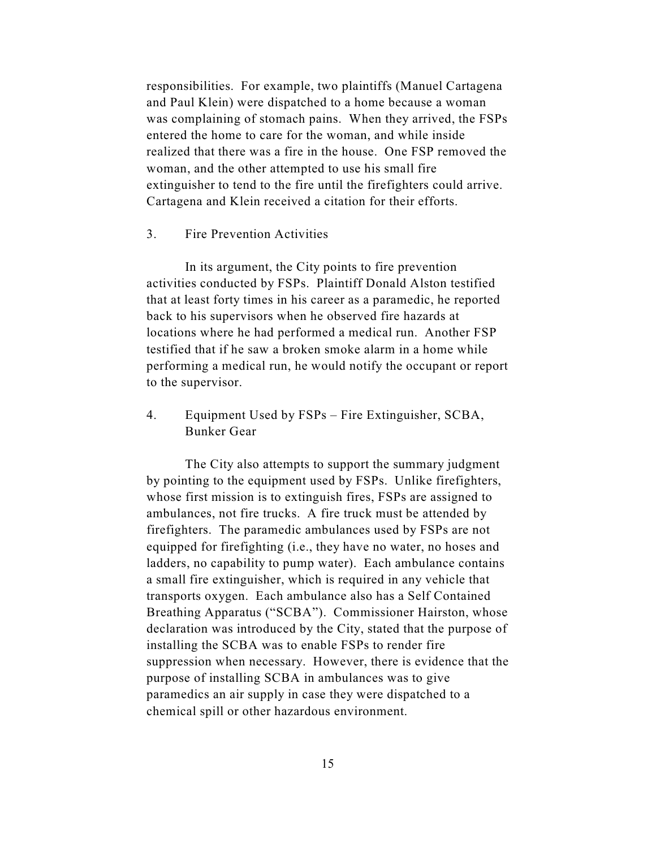responsibilities. For example, two plaintiffs (Manuel Cartagena and Paul Klein) were dispatched to a home because a woman was complaining of stomach pains. When they arrived, the FSPs entered the home to care for the woman, and while inside realized that there was a fire in the house. One FSP removed the woman, and the other attempted to use his small fire extinguisher to tend to the fire until the firefighters could arrive. Cartagena and Klein received a citation for their efforts.

#### 3. Fire Prevention Activities

In its argument, the City points to fire prevention activities conducted by FSPs. Plaintiff Donald Alston testified that at least forty times in his career as a paramedic, he reported back to his supervisors when he observed fire hazards at locations where he had performed a medical run. Another FSP testified that if he saw a broken smoke alarm in a home while performing a medical run, he would notify the occupant or report to the supervisor.

4. Equipment Used by FSPs – Fire Extinguisher, SCBA, Bunker Gear

The City also attempts to support the summary judgment by pointing to the equipment used by FSPs. Unlike firefighters, whose first mission is to extinguish fires, FSPs are assigned to ambulances, not fire trucks. A fire truck must be attended by firefighters. The paramedic ambulances used by FSPs are not equipped for firefighting (i.e., they have no water, no hoses and ladders, no capability to pump water). Each ambulance contains a small fire extinguisher, which is required in any vehicle that transports oxygen. Each ambulance also has a Self Contained Breathing Apparatus ("SCBA"). Commissioner Hairston, whose declaration was introduced by the City, stated that the purpose of installing the SCBA was to enable FSPs to render fire suppression when necessary. However, there is evidence that the purpose of installing SCBA in ambulances was to give paramedics an air supply in case they were dispatched to a chemical spill or other hazardous environment.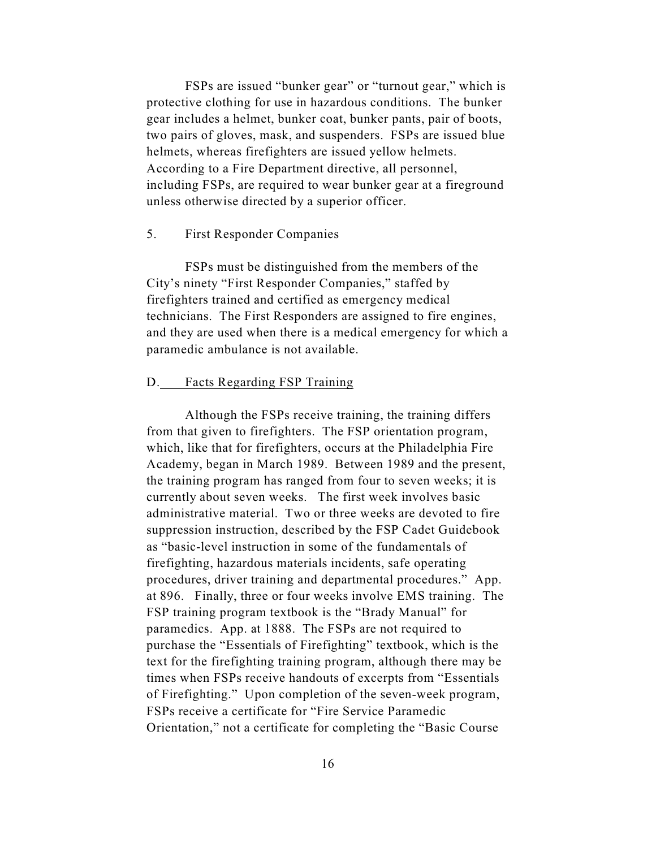FSPs are issued "bunker gear" or "turnout gear," which is protective clothing for use in hazardous conditions. The bunker gear includes a helmet, bunker coat, bunker pants, pair of boots, two pairs of gloves, mask, and suspenders. FSPs are issued blue helmets, whereas firefighters are issued yellow helmets. According to a Fire Department directive, all personnel, including FSPs, are required to wear bunker gear at a fireground unless otherwise directed by a superior officer.

## 5. First Responder Companies

FSPs must be distinguished from the members of the City's ninety "First Responder Companies," staffed by firefighters trained and certified as emergency medical technicians. The First Responders are assigned to fire engines, and they are used when there is a medical emergency for which a paramedic ambulance is not available.

## D. Facts Regarding FSP Training

Although the FSPs receive training, the training differs from that given to firefighters. The FSP orientation program, which, like that for firefighters, occurs at the Philadelphia Fire Academy, began in March 1989. Between 1989 and the present, the training program has ranged from four to seven weeks; it is currently about seven weeks. The first week involves basic administrative material. Two or three weeks are devoted to fire suppression instruction, described by the FSP Cadet Guidebook as "basic-level instruction in some of the fundamentals of firefighting, hazardous materials incidents, safe operating procedures, driver training and departmental procedures." App. at 896. Finally, three or four weeks involve EMS training. The FSP training program textbook is the "Brady Manual" for paramedics. App. at 1888. The FSPs are not required to purchase the "Essentials of Firefighting" textbook, which is the text for the firefighting training program, although there may be times when FSPs receive handouts of excerpts from "Essentials of Firefighting." Upon completion of the seven-week program, FSPs receive a certificate for "Fire Service Paramedic Orientation," not a certificate for completing the "Basic Course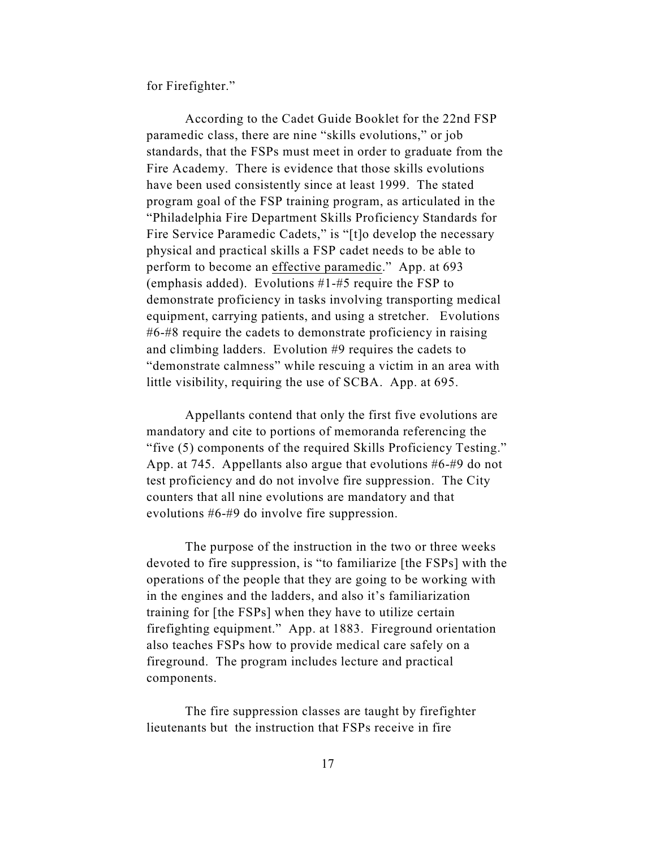for Firefighter."

According to the Cadet Guide Booklet for the 22nd FSP paramedic class, there are nine "skills evolutions," or job standards, that the FSPs must meet in order to graduate from the Fire Academy. There is evidence that those skills evolutions have been used consistently since at least 1999. The stated program goal of the FSP training program, as articulated in the "Philadelphia Fire Department Skills Proficiency Standards for Fire Service Paramedic Cadets," is "[t]o develop the necessary physical and practical skills a FSP cadet needs to be able to perform to become an effective paramedic." App. at 693 (emphasis added). Evolutions #1-#5 require the FSP to demonstrate proficiency in tasks involving transporting medical equipment, carrying patients, and using a stretcher. Evolutions #6-#8 require the cadets to demonstrate proficiency in raising and climbing ladders. Evolution #9 requires the cadets to "demonstrate calmness" while rescuing a victim in an area with little visibility, requiring the use of SCBA. App. at 695.

Appellants contend that only the first five evolutions are mandatory and cite to portions of memoranda referencing the "five (5) components of the required Skills Proficiency Testing." App. at 745. Appellants also argue that evolutions #6-#9 do not test proficiency and do not involve fire suppression. The City counters that all nine evolutions are mandatory and that evolutions #6-#9 do involve fire suppression.

The purpose of the instruction in the two or three weeks devoted to fire suppression, is "to familiarize [the FSPs] with the operations of the people that they are going to be working with in the engines and the ladders, and also it's familiarization training for [the FSPs] when they have to utilize certain firefighting equipment." App. at 1883. Fireground orientation also teaches FSPs how to provide medical care safely on a fireground. The program includes lecture and practical components.

The fire suppression classes are taught by firefighter lieutenants but the instruction that FSPs receive in fire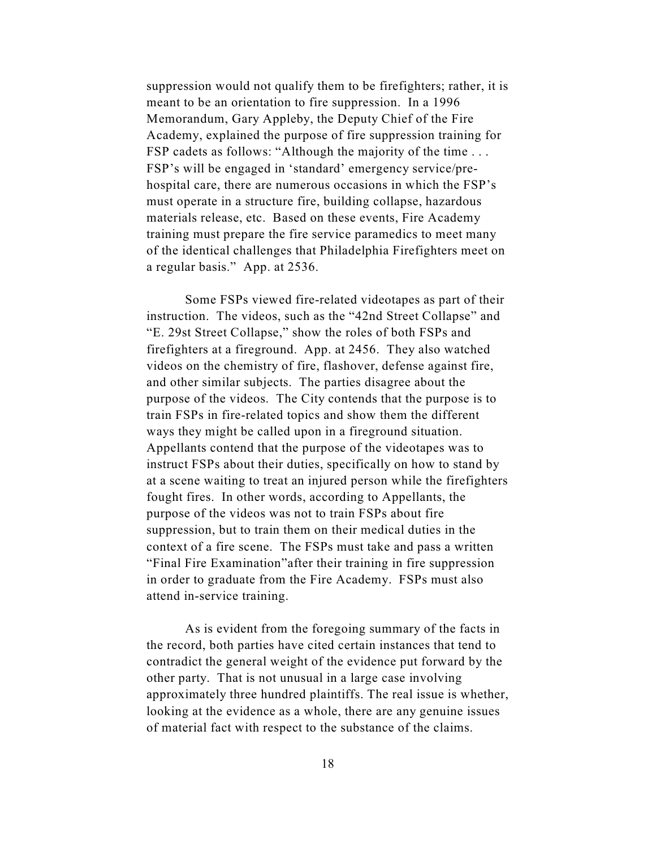suppression would not qualify them to be firefighters; rather, it is meant to be an orientation to fire suppression. In a 1996 Memorandum, Gary Appleby, the Deputy Chief of the Fire Academy, explained the purpose of fire suppression training for FSP cadets as follows: "Although the majority of the time . . . FSP's will be engaged in 'standard' emergency service/prehospital care, there are numerous occasions in which the FSP's must operate in a structure fire, building collapse, hazardous materials release, etc. Based on these events, Fire Academy training must prepare the fire service paramedics to meet many of the identical challenges that Philadelphia Firefighters meet on a regular basis." App. at 2536.

Some FSPs viewed fire-related videotapes as part of their instruction. The videos, such as the "42nd Street Collapse" and "E. 29st Street Collapse," show the roles of both FSPs and firefighters at a fireground. App. at 2456. They also watched videos on the chemistry of fire, flashover, defense against fire, and other similar subjects. The parties disagree about the purpose of the videos. The City contends that the purpose is to train FSPs in fire-related topics and show them the different ways they might be called upon in a fireground situation. Appellants contend that the purpose of the videotapes was to instruct FSPs about their duties, specifically on how to stand by at a scene waiting to treat an injured person while the firefighters fought fires. In other words, according to Appellants, the purpose of the videos was not to train FSPs about fire suppression, but to train them on their medical duties in the context of a fire scene. The FSPs must take and pass a written "Final Fire Examination"after their training in fire suppression in order to graduate from the Fire Academy. FSPs must also attend in-service training.

As is evident from the foregoing summary of the facts in the record, both parties have cited certain instances that tend to contradict the general weight of the evidence put forward by the other party. That is not unusual in a large case involving approximately three hundred plaintiffs. The real issue is whether, looking at the evidence as a whole, there are any genuine issues of material fact with respect to the substance of the claims.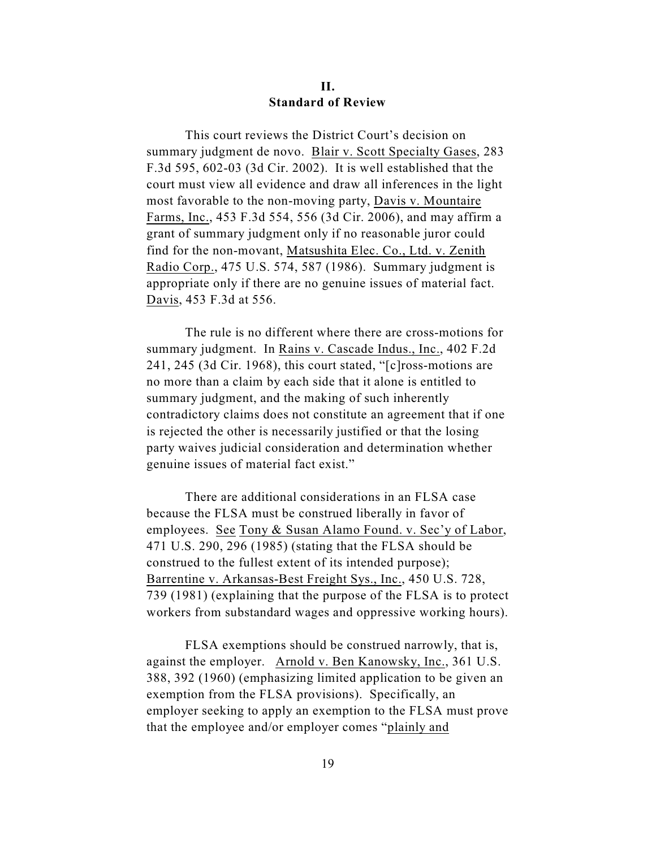## **II. Standard of Review**

This court reviews the District Court's decision on summary judgment de novo. Blair v. Scott Specialty Gases, 283 F.3d 595, 602-03 (3d Cir. 2002). It is well established that the court must view all evidence and draw all inferences in the light most favorable to the non-moving party, Davis v. Mountaire Farms, Inc., 453 F.3d 554, 556 (3d Cir. 2006), and may affirm a grant of summary judgment only if no reasonable juror could find for the non-movant, Matsushita Elec. Co., Ltd. v. Zenith Radio Corp., 475 U.S. 574, 587 (1986). Summary judgment is appropriate only if there are no genuine issues of material fact. Davis, 453 F.3d at 556.

The rule is no different where there are cross-motions for summary judgment. In Rains v. Cascade Indus., Inc., 402 F.2d 241, 245 (3d Cir. 1968), this court stated, "[c]ross-motions are no more than a claim by each side that it alone is entitled to summary judgment, and the making of such inherently contradictory claims does not constitute an agreement that if one is rejected the other is necessarily justified or that the losing party waives judicial consideration and determination whether genuine issues of material fact exist."

There are additional considerations in an FLSA case because the FLSA must be construed liberally in favor of employees. See Tony & Susan Alamo Found. v. Sec'y of Labor, 471 U.S. 290, 296 (1985) (stating that the FLSA should be construed to the fullest extent of its intended purpose); Barrentine v. Arkansas-Best Freight Sys., Inc., 450 U.S. 728, 739 (1981) (explaining that the purpose of the FLSA is to protect workers from substandard wages and oppressive working hours).

FLSA exemptions should be construed narrowly, that is, against the employer. Arnold v. Ben Kanowsky, Inc., 361 U.S. 388, 392 (1960) (emphasizing limited application to be given an exemption from the FLSA provisions). Specifically, an employer seeking to apply an exemption to the FLSA must prove that the employee and/or employer comes "plainly and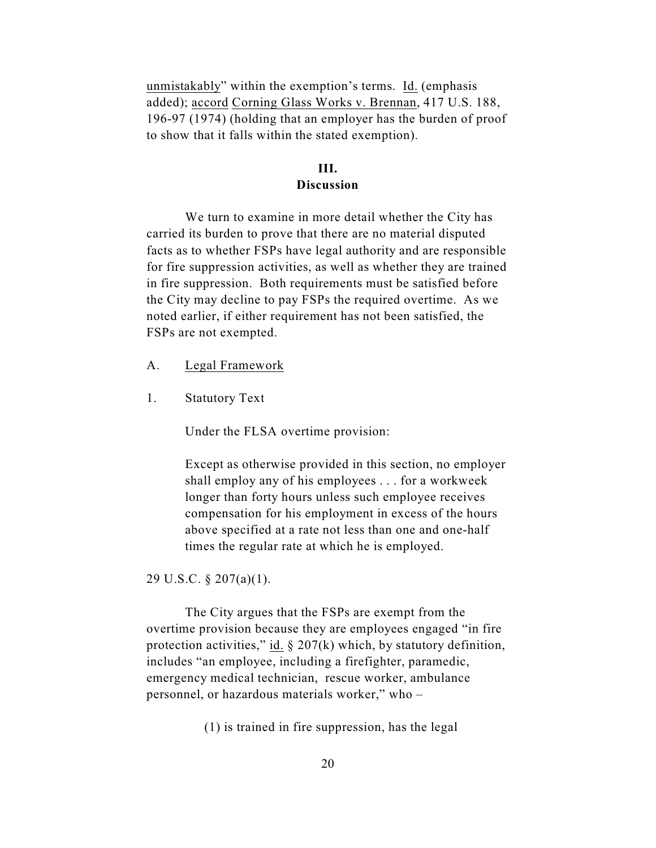unmistakably" within the exemption's terms. Id. (emphasis added); accord Corning Glass Works v. Brennan, 417 U.S. 188, 196-97 (1974) (holding that an employer has the burden of proof to show that it falls within the stated exemption).

# **III.**

## **Discussion**

We turn to examine in more detail whether the City has carried its burden to prove that there are no material disputed facts as to whether FSPs have legal authority and are responsible for fire suppression activities, as well as whether they are trained in fire suppression. Both requirements must be satisfied before the City may decline to pay FSPs the required overtime. As we noted earlier, if either requirement has not been satisfied, the FSPs are not exempted.

- A. Legal Framework
- 1. Statutory Text

Under the FLSA overtime provision:

Except as otherwise provided in this section, no employer shall employ any of his employees . . . for a workweek longer than forty hours unless such employee receives compensation for his employment in excess of the hours above specified at a rate not less than one and one-half times the regular rate at which he is employed.

29 U.S.C. § 207(a)(1).

The City argues that the FSPs are exempt from the overtime provision because they are employees engaged "in fire protection activities," id.  $\S 207(k)$  which, by statutory definition, includes "an employee, including a firefighter, paramedic, emergency medical technician, rescue worker, ambulance personnel, or hazardous materials worker," who –

(1) is trained in fire suppression, has the legal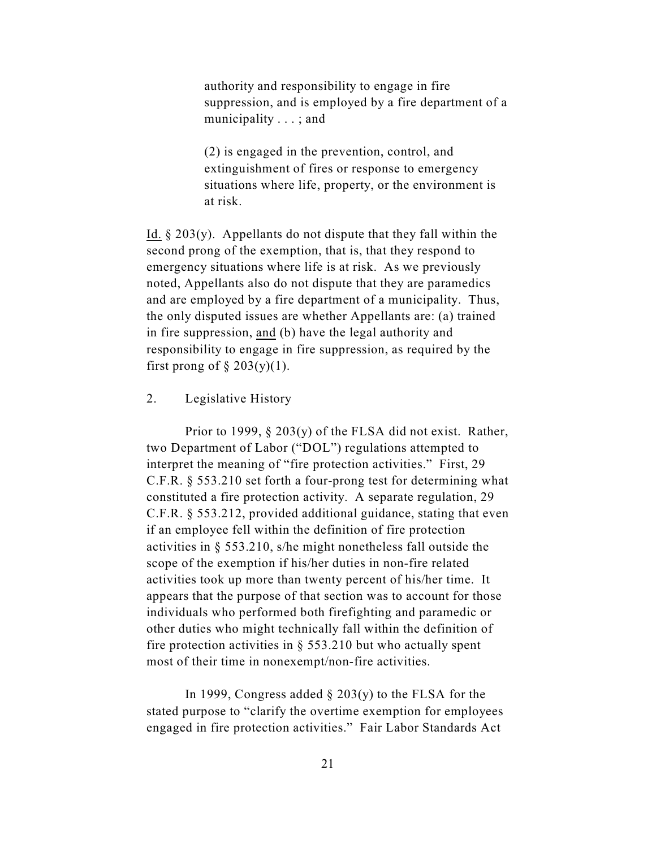authority and responsibility to engage in fire suppression, and is employed by a fire department of a municipality . . . ; and

(2) is engaged in the prevention, control, and extinguishment of fires or response to emergency situations where life, property, or the environment is at risk.

Id.  $\S 203(y)$ . Appellants do not dispute that they fall within the second prong of the exemption, that is, that they respond to emergency situations where life is at risk. As we previously noted, Appellants also do not dispute that they are paramedics and are employed by a fire department of a municipality. Thus, the only disputed issues are whether Appellants are: (a) trained in fire suppression, and (b) have the legal authority and responsibility to engage in fire suppression, as required by the first prong of  $\S 203(y)(1)$ .

## 2. Legislative History

Prior to 1999,  $\S 203(y)$  of the FLSA did not exist. Rather, two Department of Labor ("DOL") regulations attempted to interpret the meaning of "fire protection activities." First, 29 C.F.R. § 553.210 set forth a four-prong test for determining what constituted a fire protection activity. A separate regulation, 29 C.F.R. § 553.212, provided additional guidance, stating that even if an employee fell within the definition of fire protection activities in § 553.210, s/he might nonetheless fall outside the scope of the exemption if his/her duties in non-fire related activities took up more than twenty percent of his/her time. It appears that the purpose of that section was to account for those individuals who performed both firefighting and paramedic or other duties who might technically fall within the definition of fire protection activities in  $\S$  553.210 but who actually spent most of their time in nonexempt/non-fire activities.

In 1999, Congress added  $\S 203(y)$  to the FLSA for the stated purpose to "clarify the overtime exemption for employees engaged in fire protection activities." Fair Labor Standards Act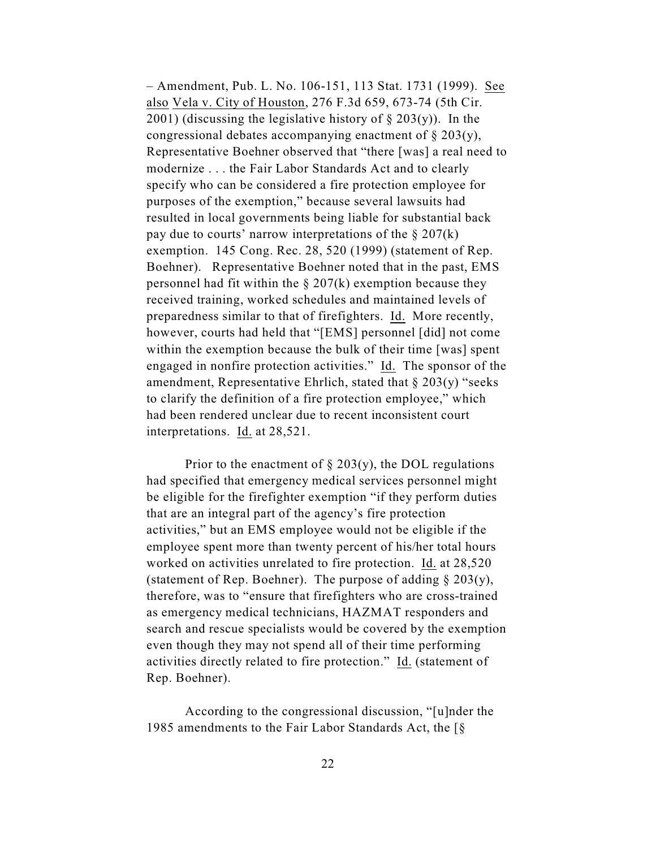– Amendment, Pub. L. No. 106-151, 113 Stat. 1731 (1999). See also Vela v. City of Houston, 276 F.3d 659, 673-74 (5th Cir. 2001) (discussing the legislative history of  $\S$  203(y)). In the congressional debates accompanying enactment of § 203(y), Representative Boehner observed that "there [was] a real need to modernize . . . the Fair Labor Standards Act and to clearly specify who can be considered a fire protection employee for purposes of the exemption," because several lawsuits had resulted in local governments being liable for substantial back pay due to courts' narrow interpretations of the  $\S 207(k)$ exemption. 145 Cong. Rec. 28, 520 (1999) (statement of Rep. Boehner). Representative Boehner noted that in the past, EMS personnel had fit within the  $\S 207(k)$  exemption because they received training, worked schedules and maintained levels of preparedness similar to that of firefighters. Id. More recently, however, courts had held that "[EMS] personnel [did] not come within the exemption because the bulk of their time [was] spent engaged in nonfire protection activities." Id. The sponsor of the amendment, Representative Ehrlich, stated that  $\S 203(y)$  "seeks" to clarify the definition of a fire protection employee," which had been rendered unclear due to recent inconsistent court interpretations. Id. at 28,521.

Prior to the enactment of  $\S 203(y)$ , the DOL regulations had specified that emergency medical services personnel might be eligible for the firefighter exemption "if they perform duties that are an integral part of the agency's fire protection activities," but an EMS employee would not be eligible if the employee spent more than twenty percent of his/her total hours worked on activities unrelated to fire protection. Id. at 28,520 (statement of Rep. Boehner). The purpose of adding  $\S 203(y)$ , therefore, was to "ensure that firefighters who are cross-trained as emergency medical technicians, HAZMAT responders and search and rescue specialists would be covered by the exemption even though they may not spend all of their time performing activities directly related to fire protection." Id. (statement of Rep. Boehner).

According to the congressional discussion, "[u]nder the 1985 amendments to the Fair Labor Standards Act, the [§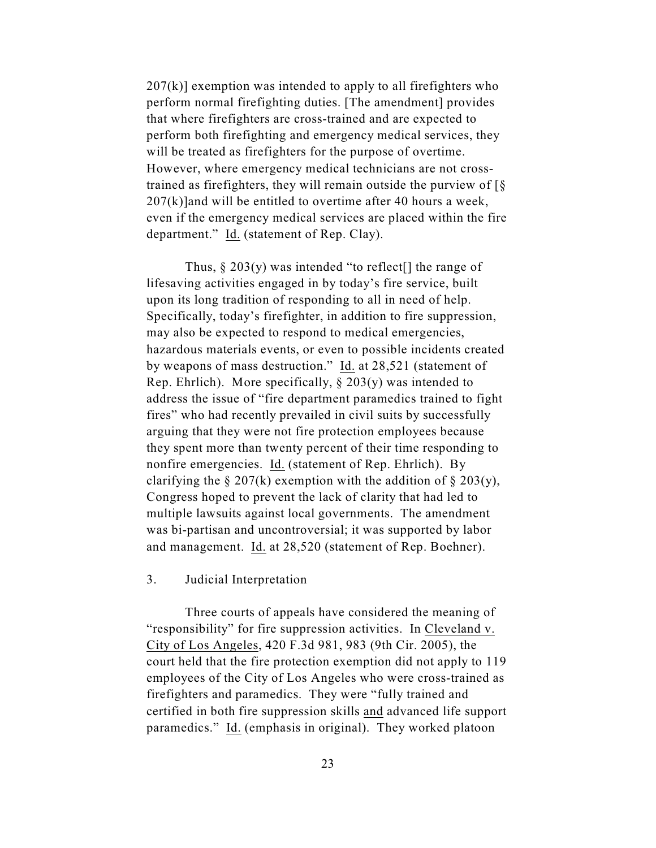$207(k)$ ] exemption was intended to apply to all firefighters who perform normal firefighting duties. [The amendment] provides that where firefighters are cross-trained and are expected to perform both firefighting and emergency medical services, they will be treated as firefighters for the purpose of overtime. However, where emergency medical technicians are not crosstrained as firefighters, they will remain outside the purview of  $\lceil \S \rceil$  $207(k)$ ]and will be entitled to overtime after 40 hours a week, even if the emergency medical services are placed within the fire department." Id. (statement of Rep. Clay).

Thus,  $\S 203(y)$  was intended "to reflect<sup>[]</sup> the range of lifesaving activities engaged in by today's fire service, built upon its long tradition of responding to all in need of help. Specifically, today's firefighter, in addition to fire suppression, may also be expected to respond to medical emergencies, hazardous materials events, or even to possible incidents created by weapons of mass destruction." Id. at 28,521 (statement of Rep. Ehrlich). More specifically,  $\S 203(y)$  was intended to address the issue of "fire department paramedics trained to fight fires" who had recently prevailed in civil suits by successfully arguing that they were not fire protection employees because they spent more than twenty percent of their time responding to nonfire emergencies. Id. (statement of Rep. Ehrlich). By clarifying the  $\S 207(k)$  exemption with the addition of  $\S 203(y)$ , Congress hoped to prevent the lack of clarity that had led to multiple lawsuits against local governments. The amendment was bi-partisan and uncontroversial; it was supported by labor and management. Id. at 28,520 (statement of Rep. Boehner).

## 3. Judicial Interpretation

Three courts of appeals have considered the meaning of "responsibility" for fire suppression activities. In Cleveland v. City of Los Angeles, 420 F.3d 981, 983 (9th Cir. 2005), the court held that the fire protection exemption did not apply to 119 employees of the City of Los Angeles who were cross-trained as firefighters and paramedics. They were "fully trained and certified in both fire suppression skills and advanced life support paramedics." Id. (emphasis in original). They worked platoon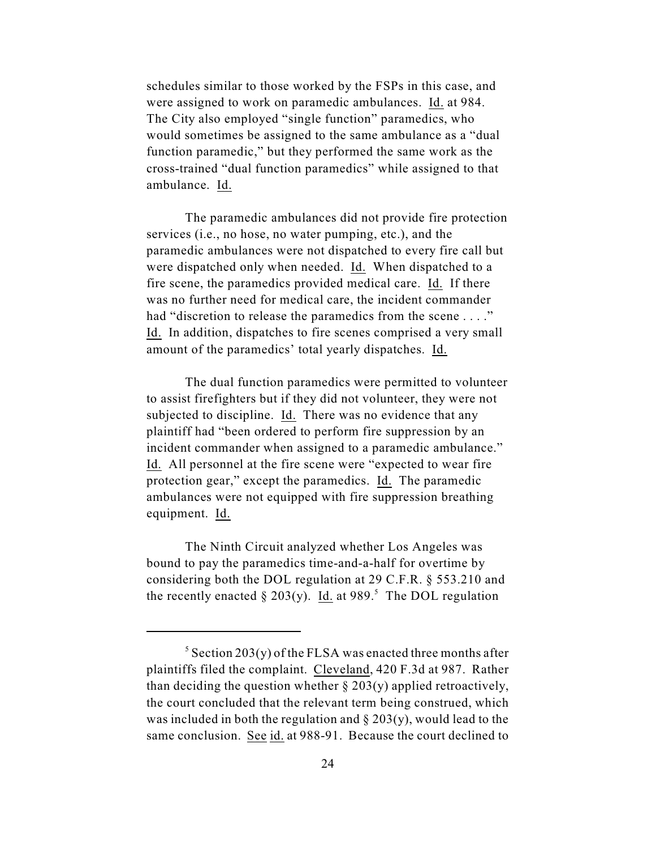schedules similar to those worked by the FSPs in this case, and were assigned to work on paramedic ambulances. Id. at 984. The City also employed "single function" paramedics, who would sometimes be assigned to the same ambulance as a "dual function paramedic," but they performed the same work as the cross-trained "dual function paramedics" while assigned to that ambulance. Id.

The paramedic ambulances did not provide fire protection services (i.e., no hose, no water pumping, etc.), and the paramedic ambulances were not dispatched to every fire call but were dispatched only when needed. Id. When dispatched to a fire scene, the paramedics provided medical care. Id. If there was no further need for medical care, the incident commander had "discretion to release the paramedics from the scene . . . ." Id. In addition, dispatches to fire scenes comprised a very small amount of the paramedics' total yearly dispatches. Id.

The dual function paramedics were permitted to volunteer to assist firefighters but if they did not volunteer, they were not subjected to discipline. Id. There was no evidence that any plaintiff had "been ordered to perform fire suppression by an incident commander when assigned to a paramedic ambulance." Id. All personnel at the fire scene were "expected to wear fire protection gear," except the paramedics. Id. The paramedic ambulances were not equipped with fire suppression breathing equipment. Id.

The Ninth Circuit analyzed whether Los Angeles was bound to pay the paramedics time-and-a-half for overtime by considering both the DOL regulation at 29 C.F.R. § 553.210 and the recently enacted  $\S 203(y)$ . Id. at 989.<sup>5</sup> The DOL regulation

 $\frac{5}{5}$  Section 203(y) of the FLSA was enacted three months after plaintiffs filed the complaint. Cleveland, 420 F.3d at 987. Rather than deciding the question whether  $\S 203(y)$  applied retroactively, the court concluded that the relevant term being construed, which was included in both the regulation and  $\S 203(y)$ , would lead to the same conclusion. See id. at 988-91. Because the court declined to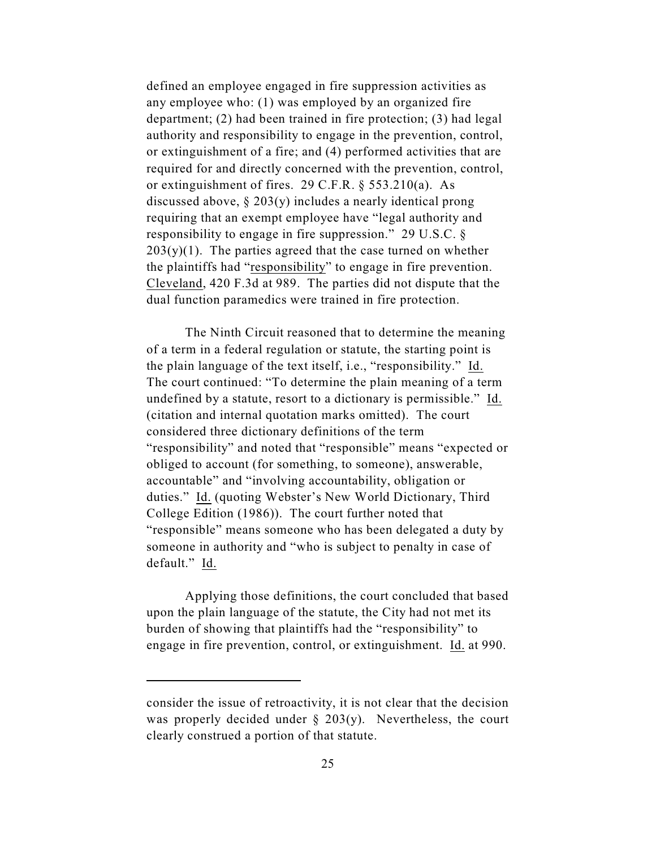defined an employee engaged in fire suppression activities as any employee who: (1) was employed by an organized fire department; (2) had been trained in fire protection; (3) had legal authority and responsibility to engage in the prevention, control, or extinguishment of a fire; and (4) performed activities that are required for and directly concerned with the prevention, control, or extinguishment of fires. 29 C.F.R. § 553.210(a). As discussed above,  $\S 203(y)$  includes a nearly identical prong requiring that an exempt employee have "legal authority and responsibility to engage in fire suppression." 29 U.S.C. §  $203(y)(1)$ . The parties agreed that the case turned on whether the plaintiffs had "responsibility" to engage in fire prevention. Cleveland, 420 F.3d at 989. The parties did not dispute that the dual function paramedics were trained in fire protection.

The Ninth Circuit reasoned that to determine the meaning of a term in a federal regulation or statute, the starting point is the plain language of the text itself, i.e., "responsibility." Id. The court continued: "To determine the plain meaning of a term undefined by a statute, resort to a dictionary is permissible." Id. (citation and internal quotation marks omitted). The court considered three dictionary definitions of the term "responsibility" and noted that "responsible" means "expected or obliged to account (for something, to someone), answerable, accountable" and "involving accountability, obligation or duties." Id. (quoting Webster's New World Dictionary, Third College Edition (1986)). The court further noted that "responsible" means someone who has been delegated a duty by someone in authority and "who is subject to penalty in case of default." Id.

Applying those definitions, the court concluded that based upon the plain language of the statute, the City had not met its burden of showing that plaintiffs had the "responsibility" to engage in fire prevention, control, or extinguishment. Id. at 990.

consider the issue of retroactivity, it is not clear that the decision was properly decided under § 203(y). Nevertheless, the court clearly construed a portion of that statute.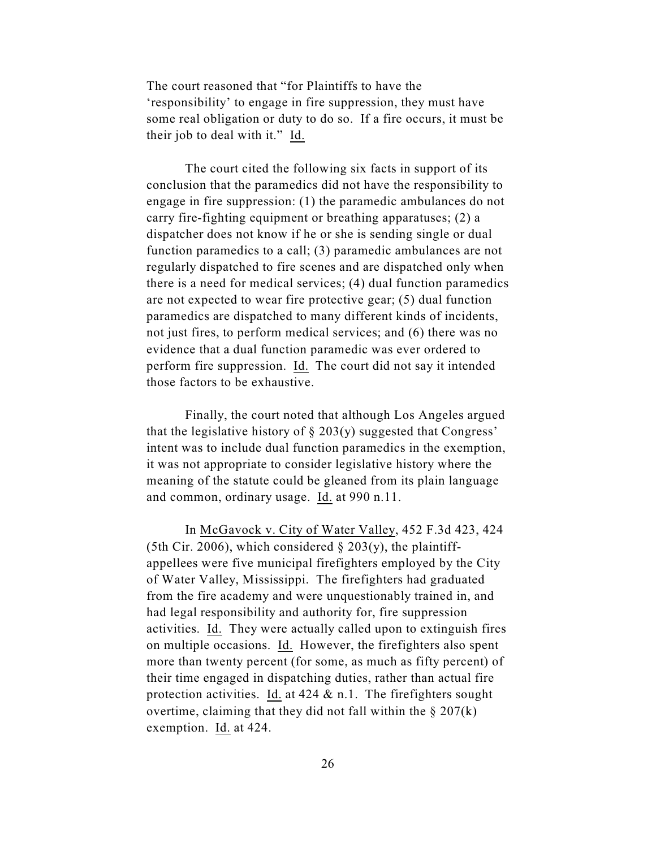The court reasoned that "for Plaintiffs to have the 'responsibility' to engage in fire suppression, they must have some real obligation or duty to do so. If a fire occurs, it must be their job to deal with it." Id.

The court cited the following six facts in support of its conclusion that the paramedics did not have the responsibility to engage in fire suppression: (1) the paramedic ambulances do not carry fire-fighting equipment or breathing apparatuses; (2) a dispatcher does not know if he or she is sending single or dual function paramedics to a call; (3) paramedic ambulances are not regularly dispatched to fire scenes and are dispatched only when there is a need for medical services; (4) dual function paramedics are not expected to wear fire protective gear; (5) dual function paramedics are dispatched to many different kinds of incidents, not just fires, to perform medical services; and (6) there was no evidence that a dual function paramedic was ever ordered to perform fire suppression. Id. The court did not say it intended those factors to be exhaustive.

Finally, the court noted that although Los Angeles argued that the legislative history of  $\S 203(y)$  suggested that Congress' intent was to include dual function paramedics in the exemption, it was not appropriate to consider legislative history where the meaning of the statute could be gleaned from its plain language and common, ordinary usage. Id. at 990 n.11.

In McGavock v. City of Water Valley, 452 F.3d 423, 424 (5th Cir. 2006), which considered  $\S$  203(y), the plaintiffappellees were five municipal firefighters employed by the City of Water Valley, Mississippi. The firefighters had graduated from the fire academy and were unquestionably trained in, and had legal responsibility and authority for, fire suppression activities. Id. They were actually called upon to extinguish fires on multiple occasions. Id. However, the firefighters also spent more than twenty percent (for some, as much as fifty percent) of their time engaged in dispatching duties, rather than actual fire protection activities. Id. at  $424 \& n.1$ . The firefighters sought overtime, claiming that they did not fall within the  $\S 207(k)$ exemption. Id. at 424.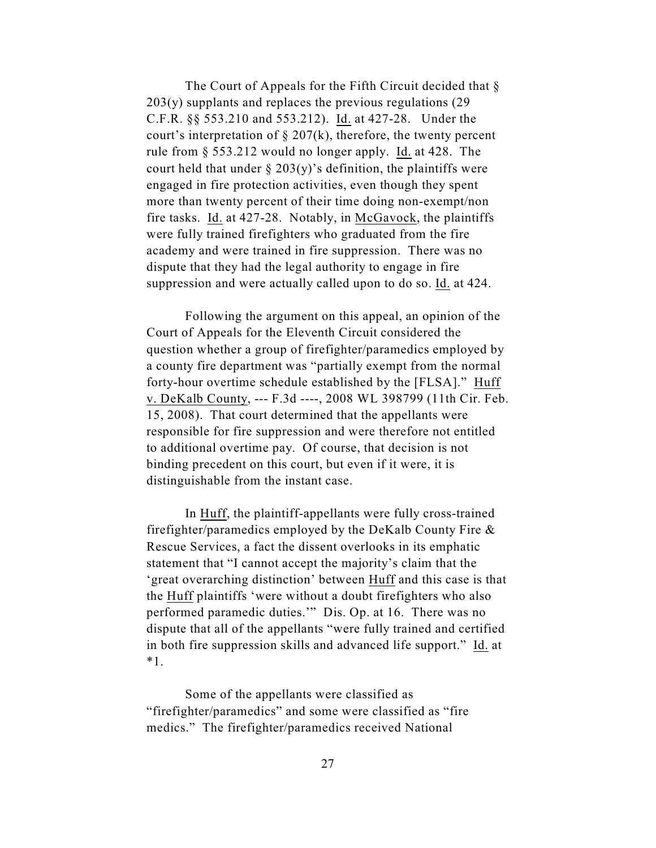The Court of Appeals for the Fifth Circuit decided that  $\S$ 203(y) supplants and replaces the previous regulations (29 C.F.R. §§ 553.210 and 553.212). Id. at 427-28. Under the court's interpretation of  $\S 207(k)$ , therefore, the twenty percent rule from § 553.212 would no longer apply. Id. at 428. The court held that under  $\S 203(y)$ 's definition, the plaintiffs were engaged in fire protection activities, even though they spent more than twenty percent of their time doing non-exempt/non fire tasks. Id. at 427-28. Notably, in McGavock, the plaintiffs were fully trained firefighters who graduated from the fire academy and were trained in fire suppression. There was no dispute that they had the legal authority to engage in fire suppression and were actually called upon to do so. Id. at 424.

Following the argument on this appeal, an opinion of the Court of Appeals for the Eleventh Circuit considered the question whether a group of firefighter/paramedics employed by a county fire department was "partially exempt from the normal forty-hour overtime schedule established by the [FLSA]." Huff v. DeKalb County, --- F.3d ----, 2008 WL 398799 (11th Cir. Feb. 15, 2008). That court determined that the appellants were responsible for fire suppression and were therefore not entitled to additional overtime pay. Of course, that decision is not binding precedent on this court, but even if it were, it is distinguishable from the instant case.

In Huff, the plaintiff-appellants were fully cross-trained firefighter/paramedics employed by the DeKalb County Fire & Rescue Services, a fact the dissent overlooks in its emphatic statement that "I cannot accept the majority's claim that the 'great overarching distinction' between Huff and this case is that the Huff plaintiffs 'were without a doubt firefighters who also performed paramedic duties.'" Dis. Op. at 16. There was no dispute that all of the appellants "were fully trained and certified in both fire suppression skills and advanced life support." Id. at \*1.

Some of the appellants were classified as "firefighter/paramedics" and some were classified as "fire medics." The firefighter/paramedics received National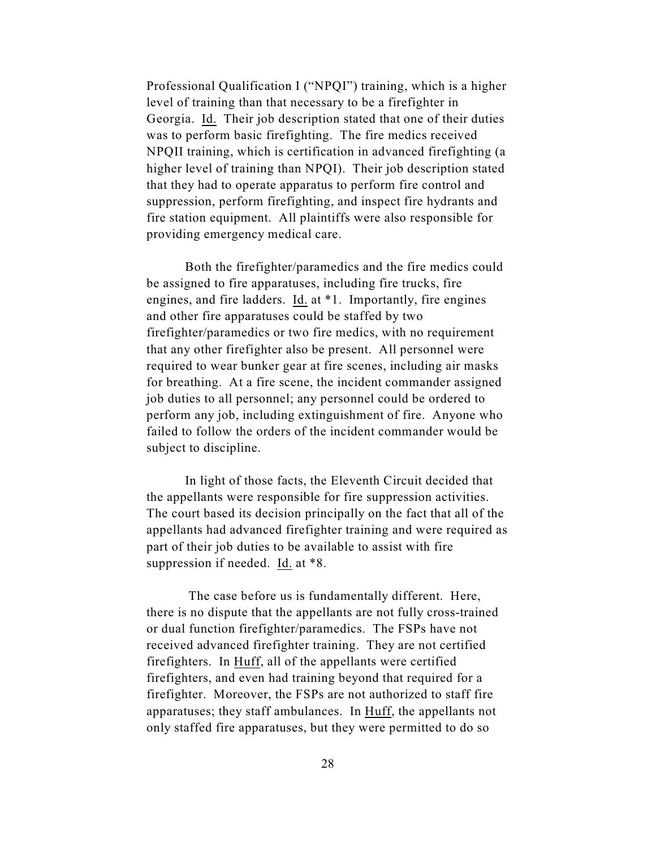Professional Qualification I ("NPQI") training, which is a higher level of training than that necessary to be a firefighter in Georgia. Id. Their job description stated that one of their duties was to perform basic firefighting. The fire medics received NPQII training, which is certification in advanced firefighting (a higher level of training than NPQI). Their job description stated that they had to operate apparatus to perform fire control and suppression, perform firefighting, and inspect fire hydrants and fire station equipment. All plaintiffs were also responsible for providing emergency medical care.

Both the firefighter/paramedics and the fire medics could be assigned to fire apparatuses, including fire trucks, fire engines, and fire ladders. Id. at \*1. Importantly, fire engines and other fire apparatuses could be staffed by two firefighter/paramedics or two fire medics, with no requirement that any other firefighter also be present. All personnel were required to wear bunker gear at fire scenes, including air masks for breathing. At a fire scene, the incident commander assigned job duties to all personnel; any personnel could be ordered to perform any job, including extinguishment of fire. Anyone who failed to follow the orders of the incident commander would be subject to discipline.

In light of those facts, the Eleventh Circuit decided that the appellants were responsible for fire suppression activities. The court based its decision principally on the fact that all of the appellants had advanced firefighter training and were required as part of their job duties to be available to assist with fire suppression if needed. Id. at \*8.

 The case before us is fundamentally different. Here, there is no dispute that the appellants are not fully cross-trained or dual function firefighter/paramedics. The FSPs have not received advanced firefighter training. They are not certified firefighters. In Huff, all of the appellants were certified firefighters, and even had training beyond that required for a firefighter. Moreover, the FSPs are not authorized to staff fire apparatuses; they staff ambulances. In Huff, the appellants not only staffed fire apparatuses, but they were permitted to do so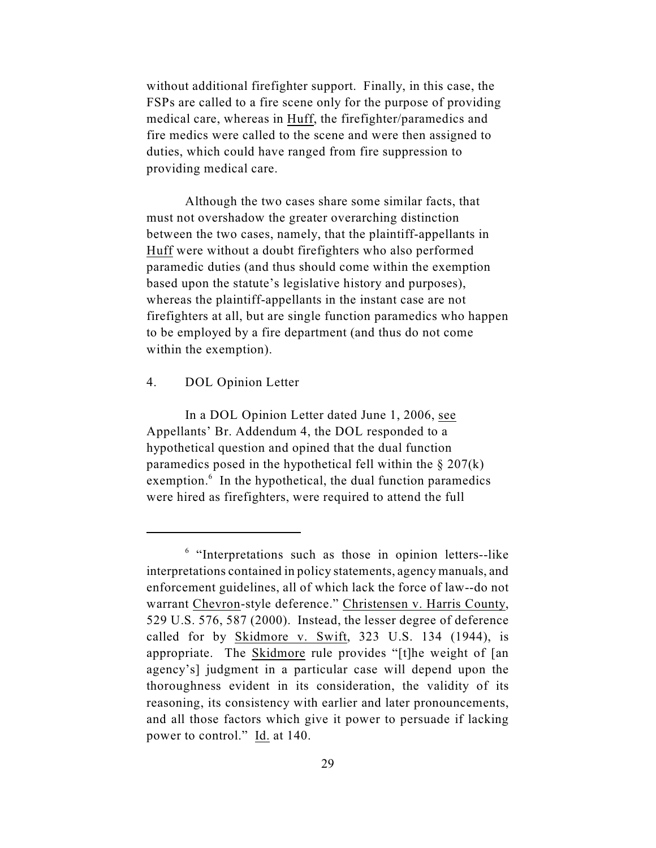without additional firefighter support. Finally, in this case, the FSPs are called to a fire scene only for the purpose of providing medical care, whereas in Huff, the firefighter/paramedics and fire medics were called to the scene and were then assigned to duties, which could have ranged from fire suppression to providing medical care.

Although the two cases share some similar facts, that must not overshadow the greater overarching distinction between the two cases, namely, that the plaintiff-appellants in Huff were without a doubt firefighters who also performed paramedic duties (and thus should come within the exemption based upon the statute's legislative history and purposes), whereas the plaintiff-appellants in the instant case are not firefighters at all, but are single function paramedics who happen to be employed by a fire department (and thus do not come within the exemption).

## 4. DOL Opinion Letter

In a DOL Opinion Letter dated June 1, 2006, see Appellants' Br. Addendum 4, the DOL responded to a hypothetical question and opined that the dual function paramedics posed in the hypothetical fell within the  $\S 207(k)$ exemption.<sup>6</sup> In the hypothetical, the dual function paramedics were hired as firefighters, were required to attend the full

 $<sup>6</sup>$  "Interpretations such as those in opinion letters--like</sup> interpretations contained in policy statements, agency manuals, and enforcement guidelines, all of which lack the force of law--do not warrant Chevron-style deference." Christensen v. Harris County, 529 U.S. 576, 587 (2000). Instead, the lesser degree of deference called for by Skidmore v. Swift, 323 U.S. 134 (1944), is appropriate. The Skidmore rule provides "[t]he weight of [an agency's] judgment in a particular case will depend upon the thoroughness evident in its consideration, the validity of its reasoning, its consistency with earlier and later pronouncements, and all those factors which give it power to persuade if lacking power to control." Id. at 140.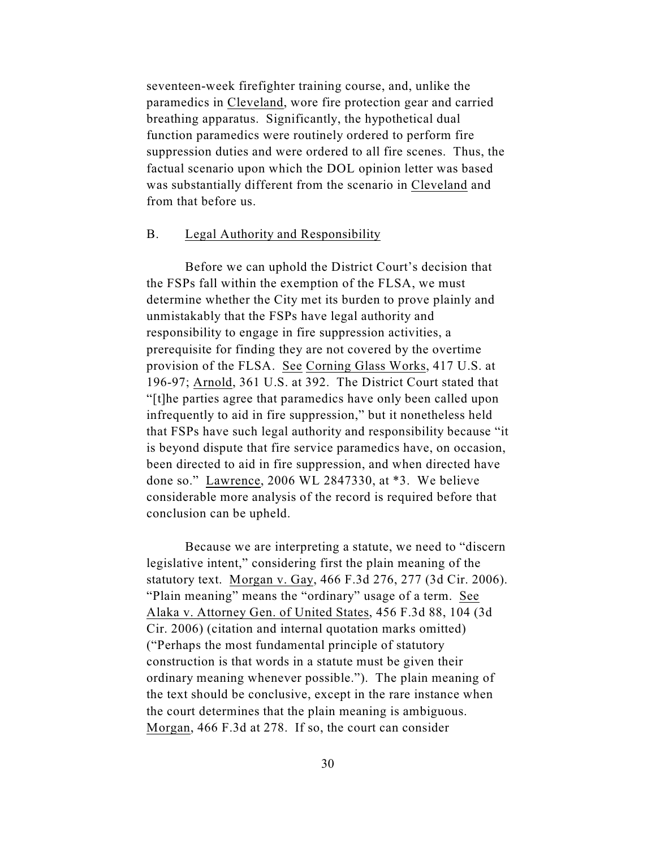seventeen-week firefighter training course, and, unlike the paramedics in Cleveland, wore fire protection gear and carried breathing apparatus. Significantly, the hypothetical dual function paramedics were routinely ordered to perform fire suppression duties and were ordered to all fire scenes. Thus, the factual scenario upon which the DOL opinion letter was based was substantially different from the scenario in Cleveland and from that before us.

#### B. Legal Authority and Responsibility

Before we can uphold the District Court's decision that the FSPs fall within the exemption of the FLSA, we must determine whether the City met its burden to prove plainly and unmistakably that the FSPs have legal authority and responsibility to engage in fire suppression activities, a prerequisite for finding they are not covered by the overtime provision of the FLSA. See Corning Glass Works, 417 U.S. at 196-97; Arnold, 361 U.S. at 392. The District Court stated that "[t]he parties agree that paramedics have only been called upon infrequently to aid in fire suppression," but it nonetheless held that FSPs have such legal authority and responsibility because "it is beyond dispute that fire service paramedics have, on occasion, been directed to aid in fire suppression, and when directed have done so." Lawrence, 2006 WL 2847330, at \*3. We believe considerable more analysis of the record is required before that conclusion can be upheld.

Because we are interpreting a statute, we need to "discern legislative intent," considering first the plain meaning of the statutory text. Morgan v. Gay, 466 F.3d 276, 277 (3d Cir. 2006). "Plain meaning" means the "ordinary" usage of a term. See Alaka v. Attorney Gen. of United States, 456 F.3d 88, 104 (3d Cir. 2006) (citation and internal quotation marks omitted) ("Perhaps the most fundamental principle of statutory construction is that words in a statute must be given their ordinary meaning whenever possible."). The plain meaning of the text should be conclusive, except in the rare instance when the court determines that the plain meaning is ambiguous. Morgan, 466 F.3d at 278. If so, the court can consider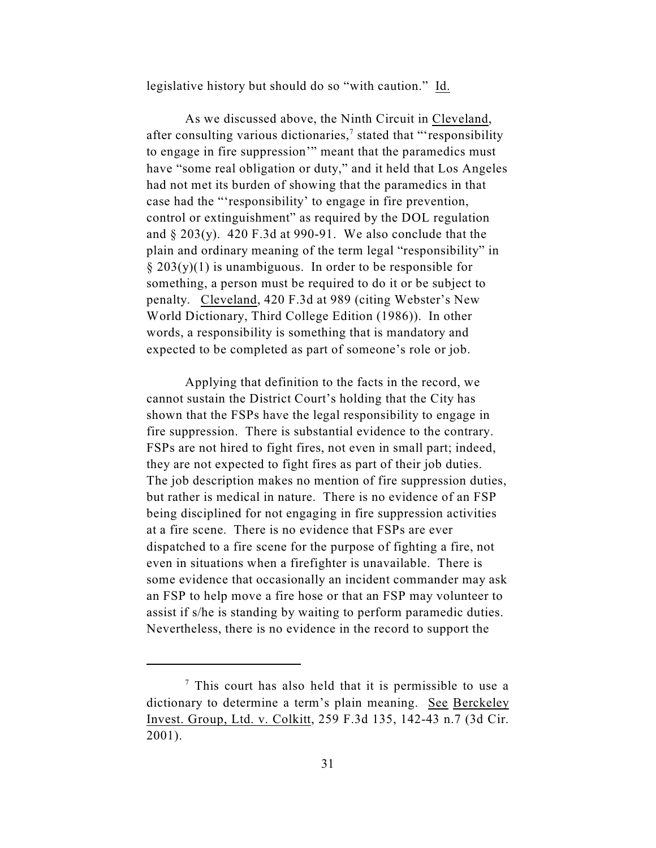legislative history but should do so "with caution." Id.

As we discussed above, the Ninth Circuit in Cleveland, after consulting various dictionaries,<sup> $\tau$ </sup> stated that "'responsibility to engage in fire suppression'" meant that the paramedics must have "some real obligation or duty," and it held that Los Angeles had not met its burden of showing that the paramedics in that case had the "'responsibility' to engage in fire prevention, control or extinguishment" as required by the DOL regulation and § 203(y). 420 F.3d at 990-91. We also conclude that the plain and ordinary meaning of the term legal "responsibility" in  $\S 203(y)(1)$  is unambiguous. In order to be responsible for something, a person must be required to do it or be subject to penalty. Cleveland, 420 F.3d at 989 (citing Webster's New World Dictionary, Third College Edition (1986)). In other words, a responsibility is something that is mandatory and expected to be completed as part of someone's role or job.

Applying that definition to the facts in the record, we cannot sustain the District Court's holding that the City has shown that the FSPs have the legal responsibility to engage in fire suppression. There is substantial evidence to the contrary. FSPs are not hired to fight fires, not even in small part; indeed, they are not expected to fight fires as part of their job duties. The job description makes no mention of fire suppression duties, but rather is medical in nature. There is no evidence of an FSP being disciplined for not engaging in fire suppression activities at a fire scene. There is no evidence that FSPs are ever dispatched to a fire scene for the purpose of fighting a fire, not even in situations when a firefighter is unavailable. There is some evidence that occasionally an incident commander may ask an FSP to help move a fire hose or that an FSP may volunteer to assist if s/he is standing by waiting to perform paramedic duties. Nevertheless, there is no evidence in the record to support the

 $\frac{7}{7}$  This court has also held that it is permissible to use a dictionary to determine a term's plain meaning. See Berckeley Invest. Group, Ltd. v. Colkitt, 259 F.3d 135, 142-43 n.7 (3d Cir. 2001).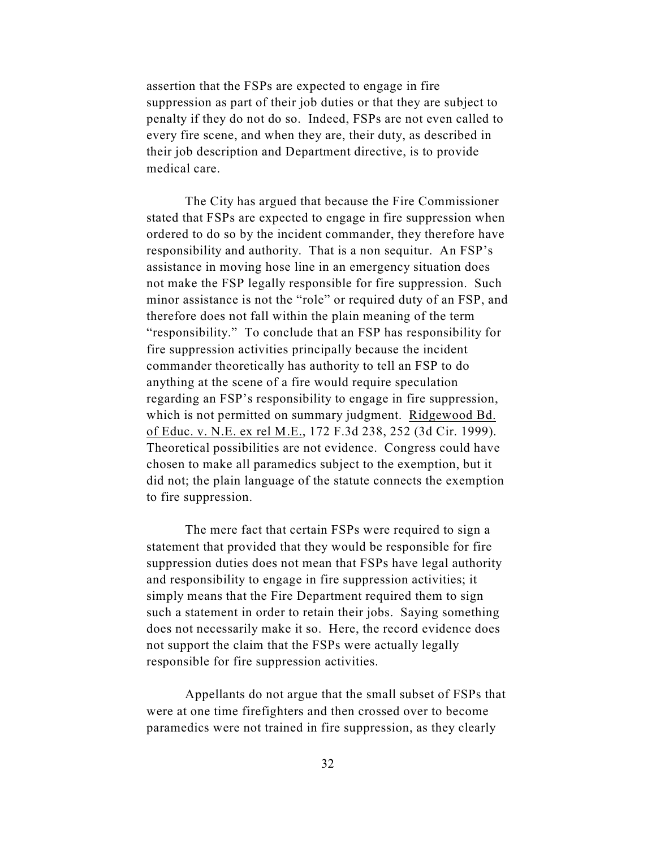assertion that the FSPs are expected to engage in fire suppression as part of their job duties or that they are subject to penalty if they do not do so. Indeed, FSPs are not even called to every fire scene, and when they are, their duty, as described in their job description and Department directive, is to provide medical care.

The City has argued that because the Fire Commissioner stated that FSPs are expected to engage in fire suppression when ordered to do so by the incident commander, they therefore have responsibility and authority. That is a non sequitur. An FSP's assistance in moving hose line in an emergency situation does not make the FSP legally responsible for fire suppression. Such minor assistance is not the "role" or required duty of an FSP, and therefore does not fall within the plain meaning of the term "responsibility." To conclude that an FSP has responsibility for fire suppression activities principally because the incident commander theoretically has authority to tell an FSP to do anything at the scene of a fire would require speculation regarding an FSP's responsibility to engage in fire suppression, which is not permitted on summary judgment. Ridgewood Bd. of Educ. v. N.E. ex rel M.E., 172 F.3d 238, 252 (3d Cir. 1999). Theoretical possibilities are not evidence. Congress could have chosen to make all paramedics subject to the exemption, but it did not; the plain language of the statute connects the exemption to fire suppression.

The mere fact that certain FSPs were required to sign a statement that provided that they would be responsible for fire suppression duties does not mean that FSPs have legal authority and responsibility to engage in fire suppression activities; it simply means that the Fire Department required them to sign such a statement in order to retain their jobs. Saying something does not necessarily make it so. Here, the record evidence does not support the claim that the FSPs were actually legally responsible for fire suppression activities.

Appellants do not argue that the small subset of FSPs that were at one time firefighters and then crossed over to become paramedics were not trained in fire suppression, as they clearly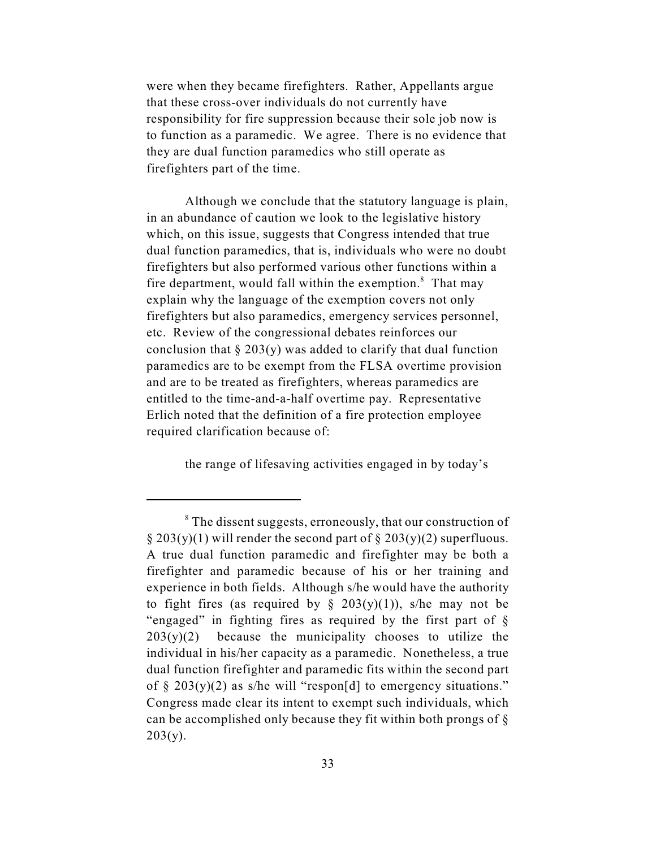were when they became firefighters. Rather, Appellants argue that these cross-over individuals do not currently have responsibility for fire suppression because their sole job now is to function as a paramedic. We agree. There is no evidence that they are dual function paramedics who still operate as firefighters part of the time.

Although we conclude that the statutory language is plain, in an abundance of caution we look to the legislative history which, on this issue, suggests that Congress intended that true dual function paramedics, that is, individuals who were no doubt firefighters but also performed various other functions within a fire department, would fall within the exemption. $\delta$  That may explain why the language of the exemption covers not only firefighters but also paramedics, emergency services personnel, etc. Review of the congressional debates reinforces our conclusion that  $\S 203(y)$  was added to clarify that dual function paramedics are to be exempt from the FLSA overtime provision and are to be treated as firefighters, whereas paramedics are entitled to the time-and-a-half overtime pay. Representative Erlich noted that the definition of a fire protection employee required clarification because of:

the range of lifesaving activities engaged in by today's

<sup>&</sup>lt;sup>8</sup> The dissent suggests, erroneously, that our construction of  $\S 203(y)(1)$  will render the second part of  $\S 203(y)(2)$  superfluous. A true dual function paramedic and firefighter may be both a firefighter and paramedic because of his or her training and experience in both fields. Although s/he would have the authority to fight fires (as required by  $\S$  203(y)(1)), s/he may not be "engaged" in fighting fires as required by the first part of §  $203(y)(2)$  because the municipality chooses to utilize the individual in his/her capacity as a paramedic. Nonetheless, a true dual function firefighter and paramedic fits within the second part of  $\S 203(y)(2)$  as s/he will "respon[d] to emergency situations." Congress made clear its intent to exempt such individuals, which can be accomplished only because they fit within both prongs of §  $203(y)$ .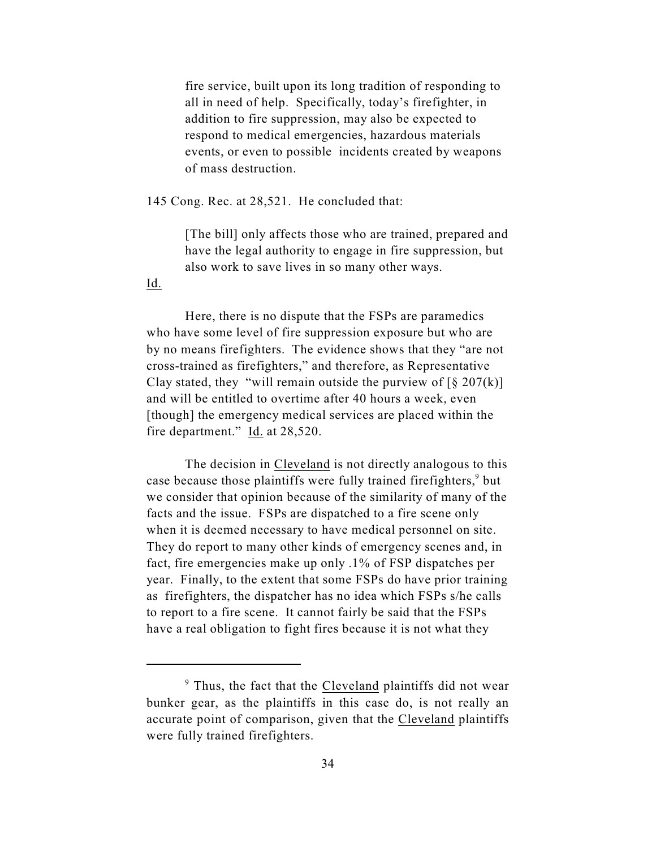fire service, built upon its long tradition of responding to all in need of help. Specifically, today's firefighter, in addition to fire suppression, may also be expected to respond to medical emergencies, hazardous materials events, or even to possible incidents created by weapons of mass destruction.

145 Cong. Rec. at 28,521. He concluded that:

[The bill] only affects those who are trained, prepared and have the legal authority to engage in fire suppression, but also work to save lives in so many other ways.

Id.

Here, there is no dispute that the FSPs are paramedics who have some level of fire suppression exposure but who are by no means firefighters. The evidence shows that they "are not cross-trained as firefighters," and therefore, as Representative Clay stated, they "will remain outside the purview of  $\lceil \frac{6}{5} \cdot 207(k) \rceil$ and will be entitled to overtime after 40 hours a week, even [though] the emergency medical services are placed within the fire department." Id. at 28,520.

The decision in Cleveland is not directly analogous to this case because those plaintiffs were fully trained firefighters,<sup>9</sup> but we consider that opinion because of the similarity of many of the facts and the issue. FSPs are dispatched to a fire scene only when it is deemed necessary to have medical personnel on site. They do report to many other kinds of emergency scenes and, in fact, fire emergencies make up only .1% of FSP dispatches per year. Finally, to the extent that some FSPs do have prior training as firefighters, the dispatcher has no idea which FSPs s/he calls to report to a fire scene. It cannot fairly be said that the FSPs have a real obligation to fight fires because it is not what they

 $\degree$  Thus, the fact that the Cleveland plaintiffs did not wear bunker gear, as the plaintiffs in this case do, is not really an accurate point of comparison, given that the Cleveland plaintiffs were fully trained firefighters.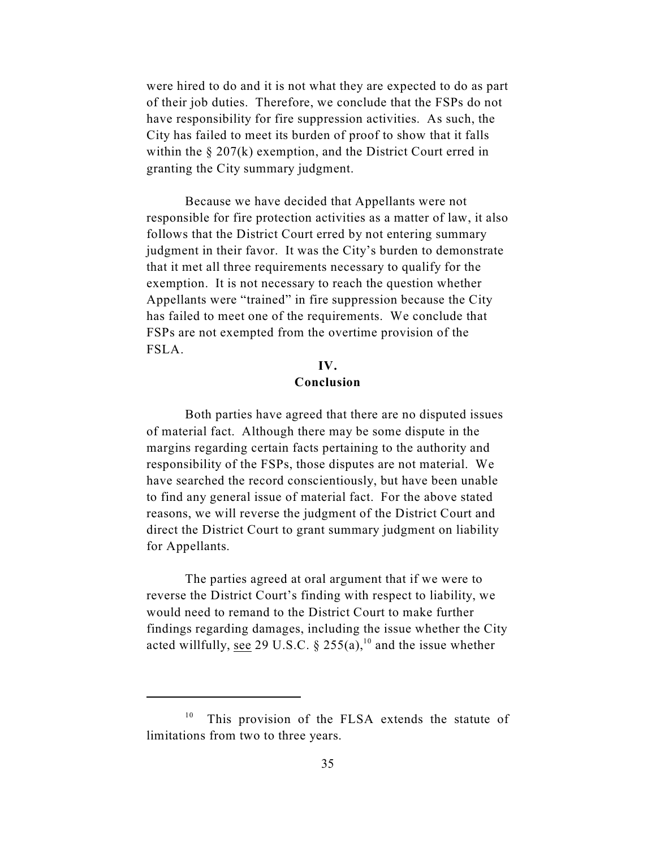were hired to do and it is not what they are expected to do as part of their job duties. Therefore, we conclude that the FSPs do not have responsibility for fire suppression activities. As such, the City has failed to meet its burden of proof to show that it falls within the  $\S 207(k)$  exemption, and the District Court erred in granting the City summary judgment.

Because we have decided that Appellants were not responsible for fire protection activities as a matter of law, it also follows that the District Court erred by not entering summary judgment in their favor. It was the City's burden to demonstrate that it met all three requirements necessary to qualify for the exemption. It is not necessary to reach the question whether Appellants were "trained" in fire suppression because the City has failed to meet one of the requirements. We conclude that FSPs are not exempted from the overtime provision of the FSLA.

# **IV. Conclusion**

Both parties have agreed that there are no disputed issues of material fact. Although there may be some dispute in the margins regarding certain facts pertaining to the authority and responsibility of the FSPs, those disputes are not material. We have searched the record conscientiously, but have been unable to find any general issue of material fact. For the above stated reasons, we will reverse the judgment of the District Court and direct the District Court to grant summary judgment on liability for Appellants.

The parties agreed at oral argument that if we were to reverse the District Court's finding with respect to liability, we would need to remand to the District Court to make further findings regarding damages, including the issue whether the City acted willfully, see 29 U.S.C. § 255(a),<sup>10</sup> and the issue whether

 $10$  This provision of the FLSA extends the statute of limitations from two to three years.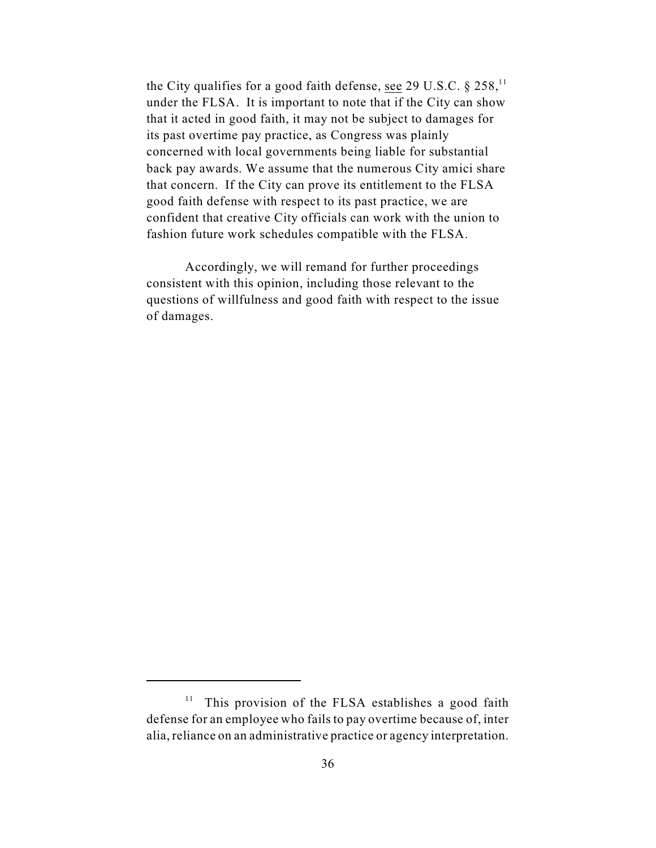the City qualifies for a good faith defense, see 29 U.S.C.  $\S$  258,<sup>11</sup> under the FLSA. It is important to note that if the City can show that it acted in good faith, it may not be subject to damages for its past overtime pay practice, as Congress was plainly concerned with local governments being liable for substantial back pay awards. We assume that the numerous City amici share that concern. If the City can prove its entitlement to the FLSA good faith defense with respect to its past practice, we are confident that creative City officials can work with the union to fashion future work schedules compatible with the FLSA.

Accordingly, we will remand for further proceedings consistent with this opinion, including those relevant to the questions of willfulness and good faith with respect to the issue of damages.

 $11$  This provision of the FLSA establishes a good faith defense for an employee who fails to pay overtime because of, inter alia, reliance on an administrative practice or agency interpretation.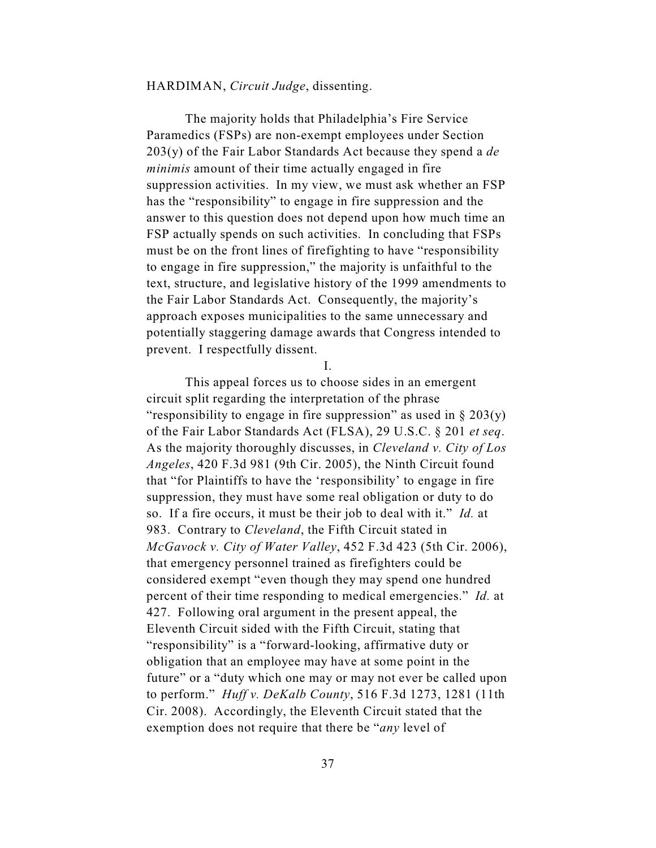## HARDIMAN, *Circuit Judge*, dissenting.

The majority holds that Philadelphia's Fire Service Paramedics (FSPs) are non-exempt employees under Section 203(y) of the Fair Labor Standards Act because they spend a *de minimis* amount of their time actually engaged in fire suppression activities. In my view, we must ask whether an FSP has the "responsibility" to engage in fire suppression and the answer to this question does not depend upon how much time an FSP actually spends on such activities. In concluding that FSPs must be on the front lines of firefighting to have "responsibility to engage in fire suppression," the majority is unfaithful to the text, structure, and legislative history of the 1999 amendments to the Fair Labor Standards Act. Consequently, the majority's approach exposes municipalities to the same unnecessary and potentially staggering damage awards that Congress intended to prevent. I respectfully dissent.

I.

This appeal forces us to choose sides in an emergent circuit split regarding the interpretation of the phrase "responsibility to engage in fire suppression" as used in  $\S 203(y)$ of the Fair Labor Standards Act (FLSA), 29 U.S.C. § 201 *et seq*. As the majority thoroughly discusses, in *Cleveland v. City of Los Angeles*, 420 F.3d 981 (9th Cir. 2005), the Ninth Circuit found that "for Plaintiffs to have the 'responsibility' to engage in fire suppression, they must have some real obligation or duty to do so. If a fire occurs, it must be their job to deal with it." *Id.* at 983. Contrary to *Cleveland*, the Fifth Circuit stated in *McGavock v. City of Water Valley*, 452 F.3d 423 (5th Cir. 2006), that emergency personnel trained as firefighters could be considered exempt "even though they may spend one hundred percent of their time responding to medical emergencies." *Id.* at 427. Following oral argument in the present appeal, the Eleventh Circuit sided with the Fifth Circuit, stating that "responsibility" is a "forward-looking, affirmative duty or obligation that an employee may have at some point in the future" or a "duty which one may or may not ever be called upon to perform." *Huff v. DeKalb County*, 516 F.3d 1273, 1281 (11th Cir. 2008). Accordingly, the Eleventh Circuit stated that the exemption does not require that there be "*any* level of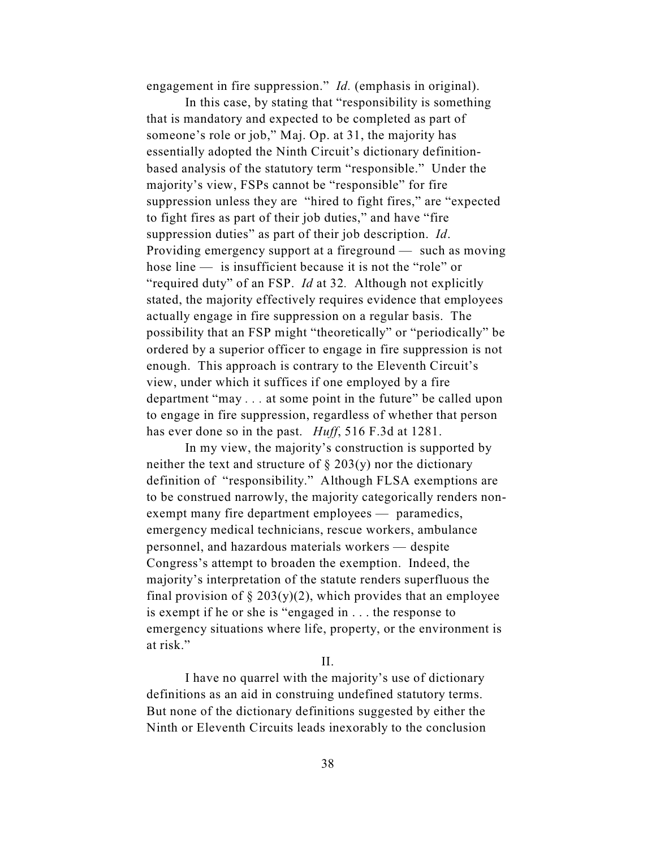engagement in fire suppression." *Id.* (emphasis in original).

In this case, by stating that "responsibility is something that is mandatory and expected to be completed as part of someone's role or job," Maj. Op. at 31, the majority has essentially adopted the Ninth Circuit's dictionary definitionbased analysis of the statutory term "responsible." Under the majority's view, FSPs cannot be "responsible" for fire suppression unless they are "hired to fight fires," are "expected to fight fires as part of their job duties," and have "fire suppression duties" as part of their job description. *Id*. Providing emergency support at a fireground — such as moving hose line — is insufficient because it is not the "role" or "required duty" of an FSP. *Id* at 32*.* Although not explicitly stated, the majority effectively requires evidence that employees actually engage in fire suppression on a regular basis. The possibility that an FSP might "theoretically" or "periodically" be ordered by a superior officer to engage in fire suppression is not enough. This approach is contrary to the Eleventh Circuit's view, under which it suffices if one employed by a fire department "may *. . .* at some point in the future" be called upon to engage in fire suppression, regardless of whether that person has ever done so in the past. *Huff*, 516 F.3d at 1281.

In my view, the majority's construction is supported by neither the text and structure of  $\S 203(y)$  nor the dictionary definition of "responsibility." Although FLSA exemptions are to be construed narrowly, the majority categorically renders nonexempt many fire department employees — paramedics, emergency medical technicians, rescue workers, ambulance personnel, and hazardous materials workers — despite Congress's attempt to broaden the exemption. Indeed, the majority's interpretation of the statute renders superfluous the final provision of  $\S 203(y)(2)$ , which provides that an employee is exempt if he or she is "engaged in . . . the response to emergency situations where life, property, or the environment is at risk."

II.

I have no quarrel with the majority's use of dictionary definitions as an aid in construing undefined statutory terms. But none of the dictionary definitions suggested by either the Ninth or Eleventh Circuits leads inexorably to the conclusion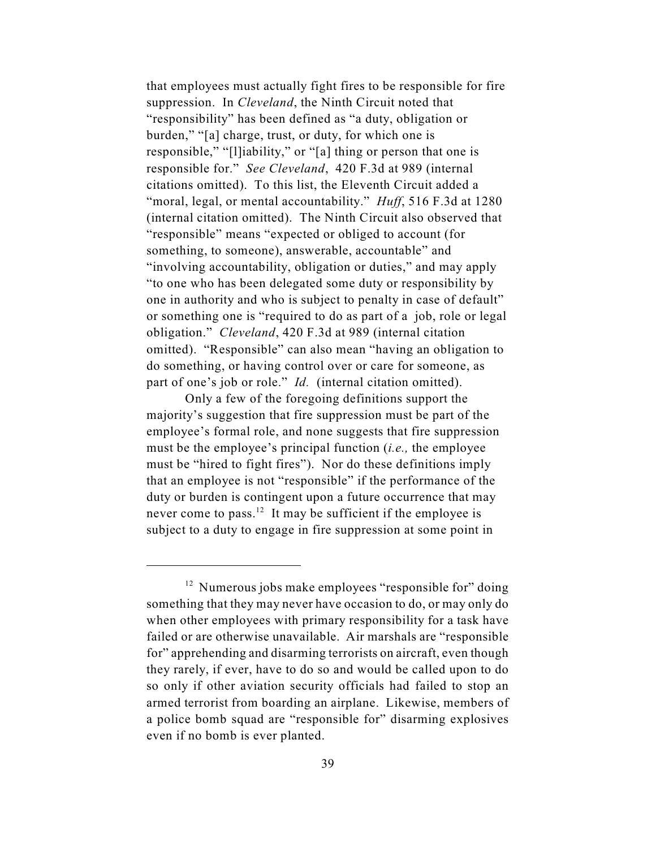that employees must actually fight fires to be responsible for fire suppression. In *Cleveland*, the Ninth Circuit noted that "responsibility" has been defined as "a duty, obligation or burden," "[a] charge, trust, or duty, for which one is responsible," "[l]iability," or "[a] thing or person that one is responsible for." *See Cleveland*, 420 F.3d at 989 (internal citations omitted). To this list, the Eleventh Circuit added a "moral, legal, or mental accountability." *Huff*, 516 F.3d at 1280 (internal citation omitted). The Ninth Circuit also observed that "responsible" means "expected or obliged to account (for something, to someone), answerable, accountable" and "involving accountability, obligation or duties," and may apply "to one who has been delegated some duty or responsibility by one in authority and who is subject to penalty in case of default" or something one is "required to do as part of a job, role or legal obligation." *Cleveland*, 420 F.3d at 989 (internal citation omitted). "Responsible" can also mean "having an obligation to do something, or having control over or care for someone, as part of one's job or role." *Id.* (internal citation omitted).

Only a few of the foregoing definitions support the majority's suggestion that fire suppression must be part of the employee's formal role, and none suggests that fire suppression must be the employee's principal function (*i.e.,* the employee must be "hired to fight fires"). Nor do these definitions imply that an employee is not "responsible" if the performance of the duty or burden is contingent upon a future occurrence that may never come to pass.<sup>12</sup> It may be sufficient if the employee is subject to a duty to engage in fire suppression at some point in

 $12$  Numerous jobs make employees "responsible for" doing something that they may never have occasion to do, or may only do when other employees with primary responsibility for a task have failed or are otherwise unavailable. Air marshals are "responsible for" apprehending and disarming terrorists on aircraft, even though they rarely, if ever, have to do so and would be called upon to do so only if other aviation security officials had failed to stop an armed terrorist from boarding an airplane. Likewise, members of a police bomb squad are "responsible for" disarming explosives even if no bomb is ever planted.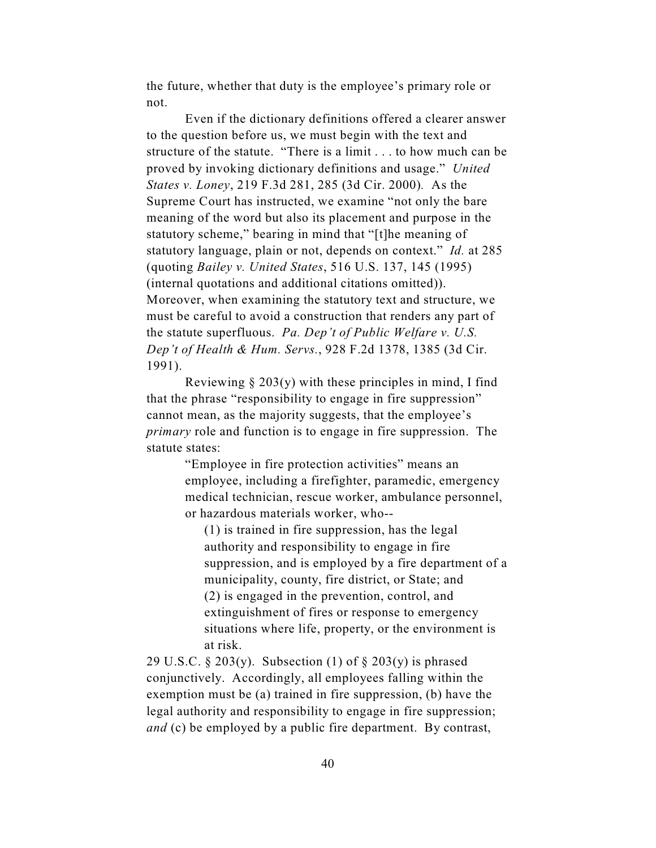the future, whether that duty is the employee's primary role or not.

Even if the dictionary definitions offered a clearer answer to the question before us, we must begin with the text and structure of the statute. "There is a limit . . . to how much can be proved by invoking dictionary definitions and usage." *United States v. Loney*, 219 F.3d 281, 285 (3d Cir. 2000)*.* As the Supreme Court has instructed, we examine "not only the bare meaning of the word but also its placement and purpose in the statutory scheme," bearing in mind that "[t]he meaning of statutory language, plain or not, depends on context." *Id.* at 285 (quoting *Bailey v. United States*, 516 U.S. 137, 145 (1995) (internal quotations and additional citations omitted)). Moreover, when examining the statutory text and structure, we must be careful to avoid a construction that renders any part of the statute superfluous. *Pa. Dep't of Public Welfare v. U.S. Dep't of Health & Hum. Servs.*, 928 F.2d 1378, 1385 (3d Cir. 1991).

Reviewing  $\S 203(y)$  with these principles in mind, I find that the phrase "responsibility to engage in fire suppression" cannot mean, as the majority suggests, that the employee's *primary* role and function is to engage in fire suppression. The statute states:

> "Employee in fire protection activities" means an employee, including a firefighter, paramedic, emergency medical technician, rescue worker, ambulance personnel, or hazardous materials worker, who--

(1) is trained in fire suppression, has the legal authority and responsibility to engage in fire suppression, and is employed by a fire department of a municipality, county, fire district, or State; and (2) is engaged in the prevention, control, and extinguishment of fires or response to emergency situations where life, property, or the environment is at risk.

29 U.S.C. § 203(y). Subsection (1) of § 203(y) is phrased conjunctively. Accordingly, all employees falling within the exemption must be (a) trained in fire suppression, (b) have the legal authority and responsibility to engage in fire suppression; *and* (c) be employed by a public fire department. By contrast,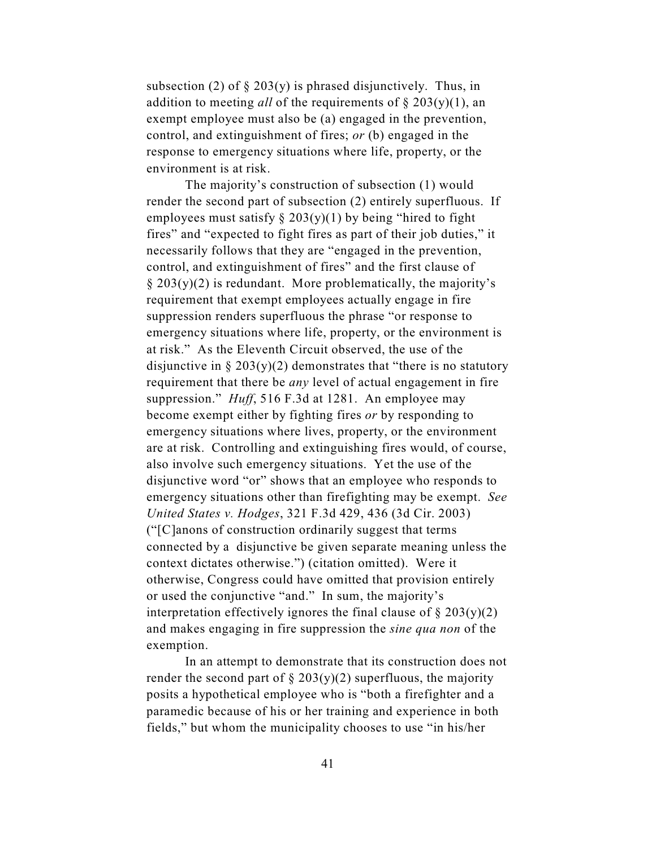subsection (2) of  $\S 203(y)$  is phrased disjunctively. Thus, in addition to meeting *all* of the requirements of § 203(y)(1), an exempt employee must also be (a) engaged in the prevention, control, and extinguishment of fires; *or* (b) engaged in the response to emergency situations where life, property, or the environment is at risk.

The majority's construction of subsection (1) would render the second part of subsection (2) entirely superfluous. If employees must satisfy  $\S 203(y)(1)$  by being "hired to fight fires" and "expected to fight fires as part of their job duties," it necessarily follows that they are "engaged in the prevention, control, and extinguishment of fires" and the first clause of  $\S 203(y)(2)$  is redundant. More problematically, the majority's requirement that exempt employees actually engage in fire suppression renders superfluous the phrase "or response to emergency situations where life, property, or the environment is at risk." As the Eleventh Circuit observed, the use of the disjunctive in  $\S 203(y)(2)$  demonstrates that "there is no statutory" requirement that there be *any* level of actual engagement in fire suppression." *Huff*, 516 F.3d at 1281. An employee may become exempt either by fighting fires *or* by responding to emergency situations where lives, property, or the environment are at risk. Controlling and extinguishing fires would, of course, also involve such emergency situations. Yet the use of the disjunctive word "or" shows that an employee who responds to emergency situations other than firefighting may be exempt. *See United States v. Hodges*, 321 F.3d 429, 436 (3d Cir. 2003) ("[C]anons of construction ordinarily suggest that terms connected by a disjunctive be given separate meaning unless the context dictates otherwise.") (citation omitted). Were it otherwise, Congress could have omitted that provision entirely or used the conjunctive "and." In sum, the majority's interpretation effectively ignores the final clause of  $\S 203(y)(2)$ and makes engaging in fire suppression the *sine qua non* of the exemption.

In an attempt to demonstrate that its construction does not render the second part of  $\S 203(y)(2)$  superfluous, the majority posits a hypothetical employee who is "both a firefighter and a paramedic because of his or her training and experience in both fields," but whom the municipality chooses to use "in his/her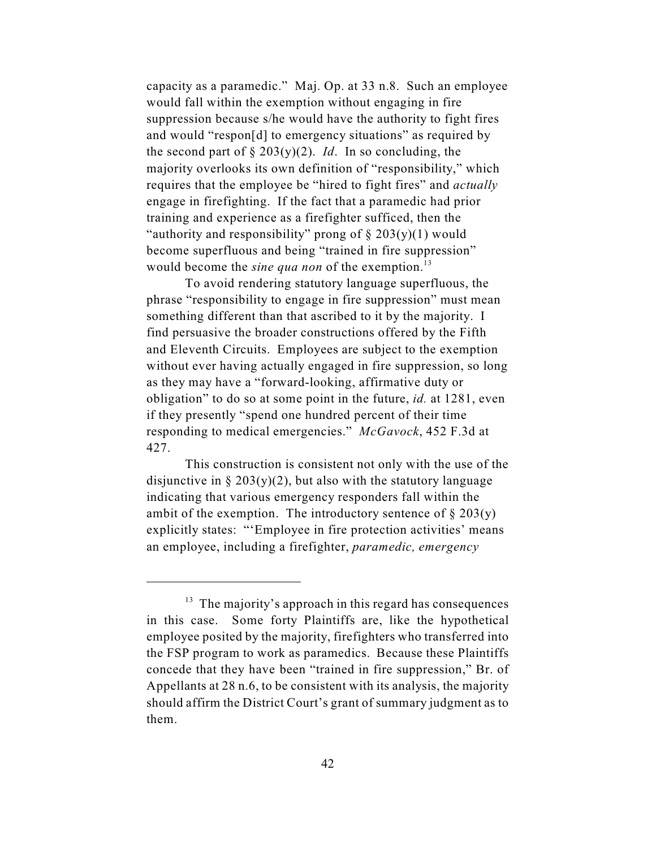capacity as a paramedic." Maj. Op. at 33 n.8. Such an employee would fall within the exemption without engaging in fire suppression because s/he would have the authority to fight fires and would "respon[d] to emergency situations" as required by the second part of  $\S 203(y)(2)$ . *Id*. In so concluding, the majority overlooks its own definition of "responsibility," which requires that the employee be "hired to fight fires" and *actually* engage in firefighting. If the fact that a paramedic had prior training and experience as a firefighter sufficed, then the "authority and responsibility" prong of  $\S 203(y)(1)$  would become superfluous and being "trained in fire suppression" would become the *sine qua non* of the exemption.<sup>13</sup>

To avoid rendering statutory language superfluous, the phrase "responsibility to engage in fire suppression" must mean something different than that ascribed to it by the majority. I find persuasive the broader constructions offered by the Fifth and Eleventh Circuits. Employees are subject to the exemption without ever having actually engaged in fire suppression, so long as they may have a "forward-looking, affirmative duty or obligation" to do so at some point in the future, *id.* at 1281, even if they presently "spend one hundred percent of their time responding to medical emergencies." *McGavock*, 452 F.3d at 427.

This construction is consistent not only with the use of the disjunctive in  $\S 203(y)(2)$ , but also with the statutory language indicating that various emergency responders fall within the ambit of the exemption. The introductory sentence of  $\S 203(y)$ explicitly states: "'Employee in fire protection activities' means an employee, including a firefighter, *paramedic, emergency*

 $<sup>13</sup>$  The majority's approach in this regard has consequences</sup> in this case. Some forty Plaintiffs are, like the hypothetical employee posited by the majority, firefighters who transferred into the FSP program to work as paramedics. Because these Plaintiffs concede that they have been "trained in fire suppression," Br. of Appellants at 28 n.6, to be consistent with its analysis, the majority should affirm the District Court's grant of summary judgment as to them.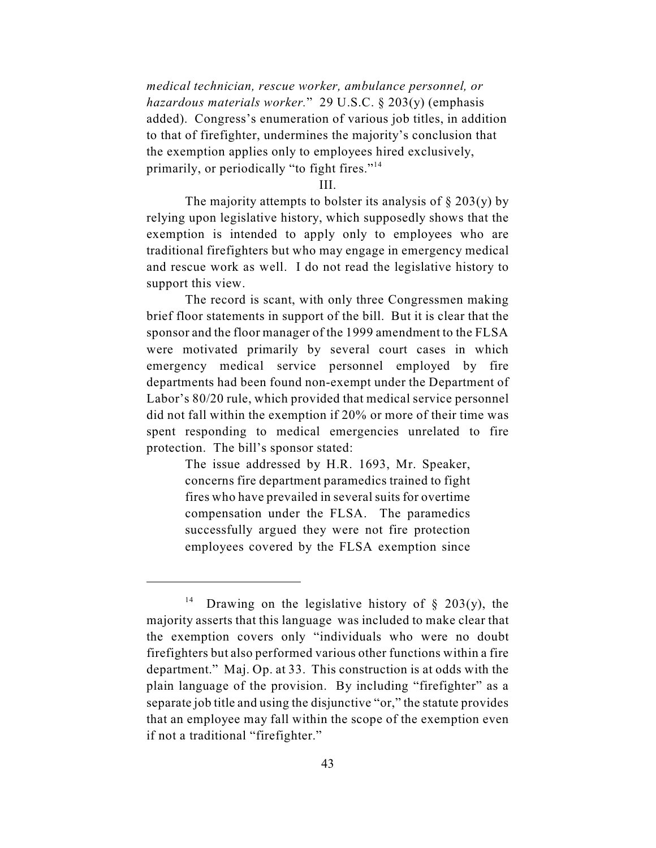*medical technician, rescue worker, ambulance personnel, or hazardous materials worker.*" 29 U.S.C. § 203(y) (emphasis added). Congress's enumeration of various job titles, in addition to that of firefighter, undermines the majority's conclusion that the exemption applies only to employees hired exclusively, primarily, or periodically "to fight fires."<sup>14</sup>

III.

The majority attempts to bolster its analysis of  $\S 203(y)$  by relying upon legislative history, which supposedly shows that the exemption is intended to apply only to employees who are traditional firefighters but who may engage in emergency medical and rescue work as well. I do not read the legislative history to support this view.

The record is scant, with only three Congressmen making brief floor statements in support of the bill. But it is clear that the sponsor and the floor manager of the 1999 amendment to the FLSA were motivated primarily by several court cases in which emergency medical service personnel employed by fire departments had been found non-exempt under the Department of Labor's 80/20 rule, which provided that medical service personnel did not fall within the exemption if 20% or more of their time was spent responding to medical emergencies unrelated to fire protection. The bill's sponsor stated:

> The issue addressed by H.R. 1693, Mr. Speaker, concerns fire department paramedics trained to fight fires who have prevailed in several suits for overtime compensation under the FLSA. The paramedics successfully argued they were not fire protection employees covered by the FLSA exemption since

<sup>&</sup>lt;sup>14</sup> Drawing on the legislative history of § 203(y), the majority asserts that this language was included to make clear that the exemption covers only "individuals who were no doubt firefighters but also performed various other functions within a fire department." Maj. Op. at 33. This construction is at odds with the plain language of the provision. By including "firefighter" as a separate job title and using the disjunctive "or," the statute provides that an employee may fall within the scope of the exemption even if not a traditional "firefighter."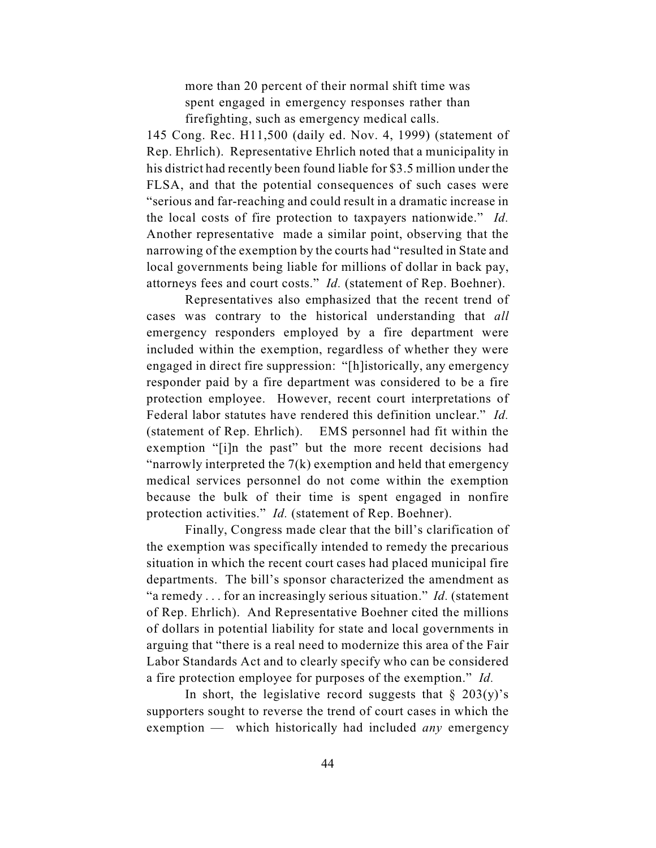more than 20 percent of their normal shift time was spent engaged in emergency responses rather than firefighting, such as emergency medical calls.

145 Cong. Rec. H11,500 (daily ed. Nov. 4, 1999) (statement of Rep. Ehrlich). Representative Ehrlich noted that a municipality in his district had recently been found liable for \$3.5 million under the FLSA, and that the potential consequences of such cases were "serious and far-reaching and could result in a dramatic increase in the local costs of fire protection to taxpayers nationwide." *Id.* Another representative made a similar point, observing that the narrowing of the exemption by the courts had "resulted in State and local governments being liable for millions of dollar in back pay, attorneys fees and court costs." *Id.* (statement of Rep. Boehner).

Representatives also emphasized that the recent trend of cases was contrary to the historical understanding that *all* emergency responders employed by a fire department were included within the exemption, regardless of whether they were engaged in direct fire suppression: "[h]istorically, any emergency responder paid by a fire department was considered to be a fire protection employee. However, recent court interpretations of Federal labor statutes have rendered this definition unclear." *Id.* (statement of Rep. Ehrlich). EMS personnel had fit within the exemption "[i]n the past" but the more recent decisions had "narrowly interpreted the  $7(k)$  exemption and held that emergency medical services personnel do not come within the exemption because the bulk of their time is spent engaged in nonfire protection activities." *Id.* (statement of Rep. Boehner).

Finally, Congress made clear that the bill's clarification of the exemption was specifically intended to remedy the precarious situation in which the recent court cases had placed municipal fire departments. The bill's sponsor characterized the amendment as "a remedy . . . for an increasingly serious situation." *Id.* (statement of Rep. Ehrlich). And Representative Boehner cited the millions of dollars in potential liability for state and local governments in arguing that "there is a real need to modernize this area of the Fair Labor Standards Act and to clearly specify who can be considered a fire protection employee for purposes of the exemption." *Id.*

In short, the legislative record suggests that  $\S$  203(y)'s supporters sought to reverse the trend of court cases in which the exemption — which historically had included *any* emergency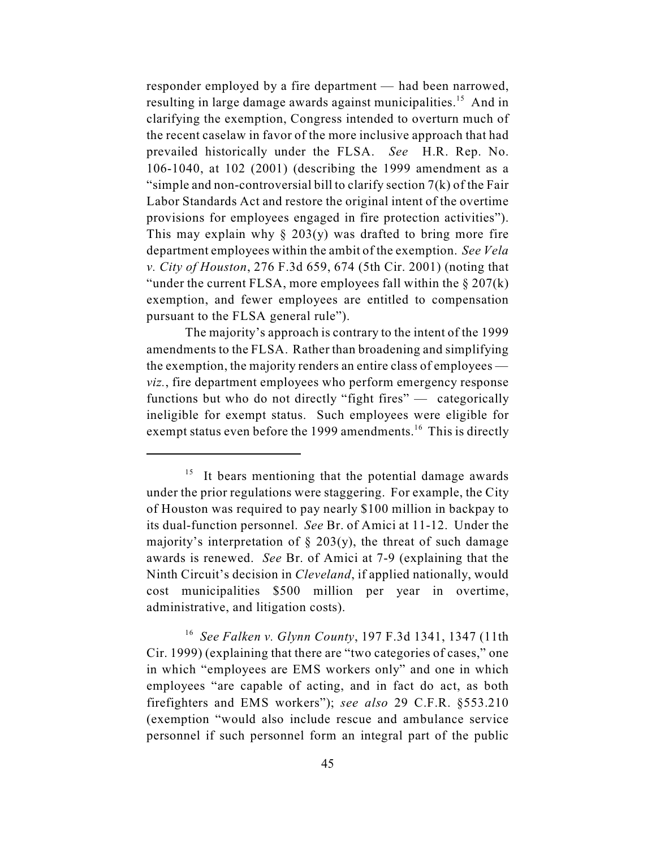responder employed by a fire department — had been narrowed, resulting in large damage awards against municipalities.<sup>15</sup> And in clarifying the exemption, Congress intended to overturn much of the recent caselaw in favor of the more inclusive approach that had prevailed historically under the FLSA. *See* H.R. Rep. No. 106-1040, at 102 (2001) (describing the 1999 amendment as a "simple and non-controversial bill to clarify section  $7(k)$  of the Fair Labor Standards Act and restore the original intent of the overtime provisions for employees engaged in fire protection activities"). This may explain why  $\S$  203(y) was drafted to bring more fire department employees within the ambit of the exemption. *See Vela v. City of Houston*, 276 F.3d 659, 674 (5th Cir. 2001) (noting that "under the current FLSA, more employees fall within the  $\S 207(k)$ exemption, and fewer employees are entitled to compensation pursuant to the FLSA general rule").

The majority's approach is contrary to the intent of the 1999 amendments to the FLSA. Rather than broadening and simplifying the exemption, the majority renders an entire class of employees *viz.*, fire department employees who perform emergency response functions but who do not directly "fight fires" — categorically ineligible for exempt status. Such employees were eligible for exempt status even before the 1999 amendments.<sup>16</sup> This is directly

 $15$  It bears mentioning that the potential damage awards under the prior regulations were staggering. For example, the City of Houston was required to pay nearly \$100 million in backpay to its dual-function personnel. *See* Br. of Amici at 11-12. Under the majority's interpretation of  $\S$  203(y), the threat of such damage awards is renewed. *See* Br. of Amici at 7-9 (explaining that the Ninth Circuit's decision in *Cleveland*, if applied nationally, would cost municipalities \$500 million per year in overtime, administrative, and litigation costs).

<sup>&</sup>lt;sup>16</sup> See Falken *v. Glynn County*, 197 F.3d 1341, 1347 (11th Cir. 1999) (explaining that there are "two categories of cases," one in which "employees are EMS workers only" and one in which employees "are capable of acting, and in fact do act, as both firefighters and EMS workers"); *see also* 29 C.F.R. §553.210 (exemption "would also include rescue and ambulance service personnel if such personnel form an integral part of the public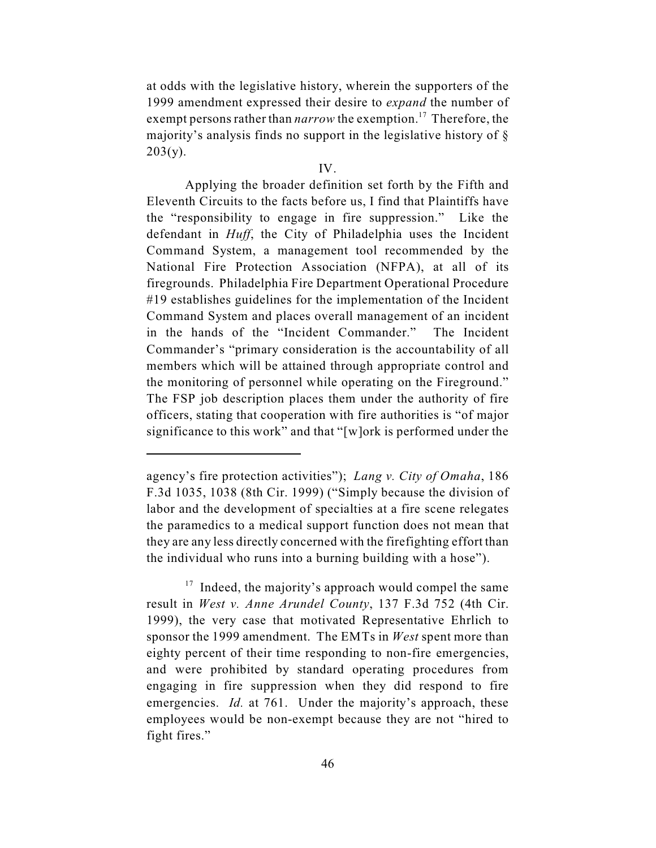at odds with the legislative history, wherein the supporters of the 1999 amendment expressed their desire to *expand* the number of exempt persons rather than *narrow* the exemption.<sup>17</sup> Therefore, the majority's analysis finds no support in the legislative history of §  $203(y)$ .

#### IV.

Applying the broader definition set forth by the Fifth and Eleventh Circuits to the facts before us, I find that Plaintiffs have the "responsibility to engage in fire suppression." Like the defendant in *Huff*, the City of Philadelphia uses the Incident Command System, a management tool recommended by the National Fire Protection Association (NFPA), at all of its firegrounds. Philadelphia Fire Department Operational Procedure #19 establishes guidelines for the implementation of the Incident Command System and places overall management of an incident in the hands of the "Incident Commander." The Incident Commander's "primary consideration is the accountability of all members which will be attained through appropriate control and the monitoring of personnel while operating on the Fireground." The FSP job description places them under the authority of fire officers, stating that cooperation with fire authorities is "of major significance to this work" and that "[w]ork is performed under the

agency's fire protection activities"); *Lang v. City of Omaha*, 186 F.3d 1035, 1038 (8th Cir. 1999) ("Simply because the division of labor and the development of specialties at a fire scene relegates the paramedics to a medical support function does not mean that they are any less directly concerned with the firefighting effort than the individual who runs into a burning building with a hose").

 $17$  Indeed, the majority's approach would compel the same result in *West v. Anne Arundel County*, 137 F.3d 752 (4th Cir. 1999), the very case that motivated Representative Ehrlich to sponsor the 1999 amendment. The EMTs in *West* spent more than eighty percent of their time responding to non-fire emergencies, and were prohibited by standard operating procedures from engaging in fire suppression when they did respond to fire emergencies. *Id.* at 761. Under the majority's approach, these employees would be non-exempt because they are not "hired to fight fires."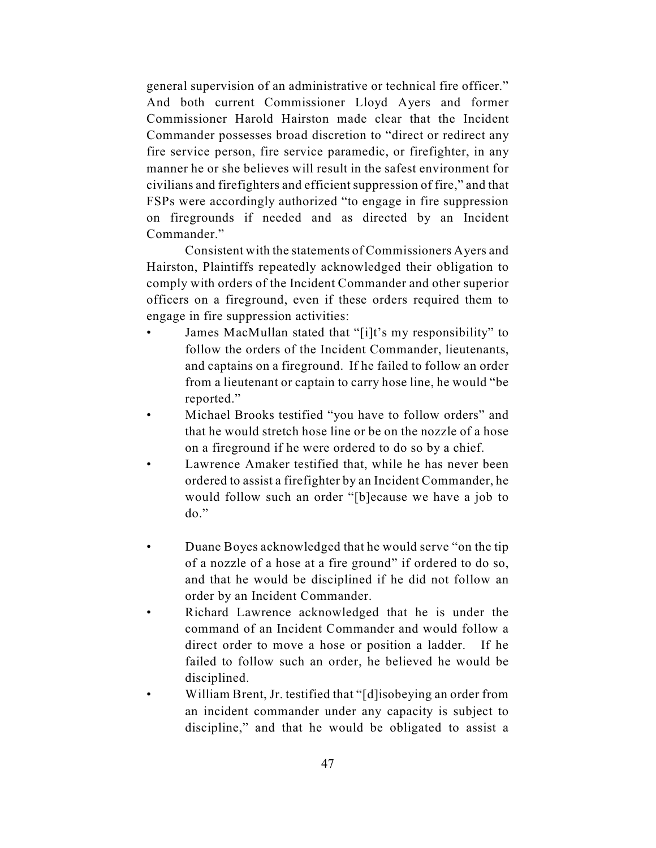general supervision of an administrative or technical fire officer." And both current Commissioner Lloyd Ayers and former Commissioner Harold Hairston made clear that the Incident Commander possesses broad discretion to "direct or redirect any fire service person, fire service paramedic, or firefighter, in any manner he or she believes will result in the safest environment for civilians and firefighters and efficient suppression of fire," and that FSPs were accordingly authorized "to engage in fire suppression on firegrounds if needed and as directed by an Incident Commander."

Consistent with the statements of Commissioners Ayers and Hairston, Plaintiffs repeatedly acknowledged their obligation to comply with orders of the Incident Commander and other superior officers on a fireground, even if these orders required them to engage in fire suppression activities:

- James MacMullan stated that "[i]t's my responsibility" to follow the orders of the Incident Commander, lieutenants, and captains on a fireground. If he failed to follow an order from a lieutenant or captain to carry hose line, he would "be reported."
- Michael Brooks testified "you have to follow orders" and that he would stretch hose line or be on the nozzle of a hose on a fireground if he were ordered to do so by a chief.
- Lawrence Amaker testified that, while he has never been ordered to assist a firefighter by an Incident Commander, he would follow such an order "[b]ecause we have a job to do."
- Duane Boyes acknowledged that he would serve "on the tip of a nozzle of a hose at a fire ground" if ordered to do so, and that he would be disciplined if he did not follow an order by an Incident Commander.
- Richard Lawrence acknowledged that he is under the command of an Incident Commander and would follow a direct order to move a hose or position a ladder. If he failed to follow such an order, he believed he would be disciplined.
- William Brent, Jr. testified that "[d]isobeying an order from an incident commander under any capacity is subject to discipline," and that he would be obligated to assist a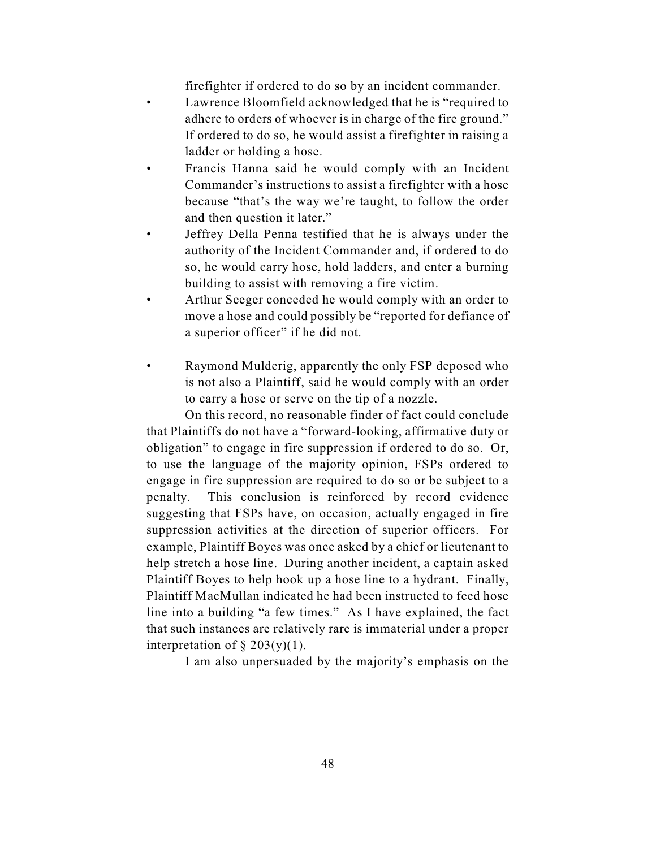firefighter if ordered to do so by an incident commander.

- Lawrence Bloomfield acknowledged that he is "required to adhere to orders of whoever is in charge of the fire ground." If ordered to do so, he would assist a firefighter in raising a ladder or holding a hose.
- Francis Hanna said he would comply with an Incident Commander's instructions to assist a firefighter with a hose because "that's the way we're taught, to follow the order and then question it later."
- Jeffrey Della Penna testified that he is always under the authority of the Incident Commander and, if ordered to do so, he would carry hose, hold ladders, and enter a burning building to assist with removing a fire victim.
- Arthur Seeger conceded he would comply with an order to move a hose and could possibly be "reported for defiance of a superior officer" if he did not.
- Raymond Mulderig, apparently the only FSP deposed who is not also a Plaintiff, said he would comply with an order to carry a hose or serve on the tip of a nozzle.

On this record, no reasonable finder of fact could conclude that Plaintiffs do not have a "forward-looking, affirmative duty or obligation" to engage in fire suppression if ordered to do so. Or, to use the language of the majority opinion, FSPs ordered to engage in fire suppression are required to do so or be subject to a penalty. This conclusion is reinforced by record evidence suggesting that FSPs have, on occasion, actually engaged in fire suppression activities at the direction of superior officers. For example, Plaintiff Boyes was once asked by a chief or lieutenant to help stretch a hose line. During another incident, a captain asked Plaintiff Boyes to help hook up a hose line to a hydrant. Finally, Plaintiff MacMullan indicated he had been instructed to feed hose line into a building "a few times." As I have explained, the fact that such instances are relatively rare is immaterial under a proper interpretation of  $\S 203(y)(1)$ .

I am also unpersuaded by the majority's emphasis on the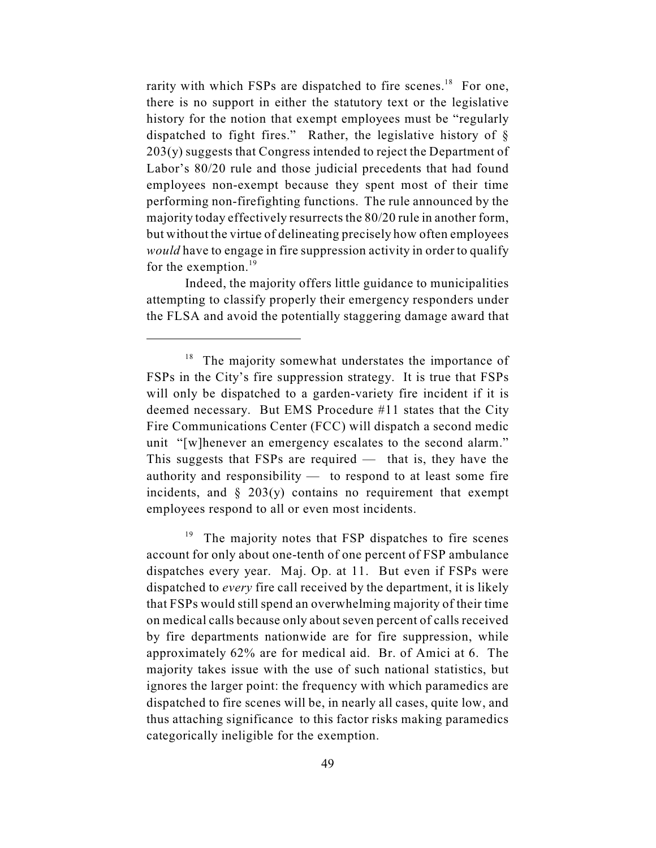rarity with which FSPs are dispatched to fire scenes.<sup>18</sup> For one, there is no support in either the statutory text or the legislative history for the notion that exempt employees must be "regularly dispatched to fight fires." Rather, the legislative history of § 203(y) suggests that Congress intended to reject the Department of Labor's 80/20 rule and those judicial precedents that had found employees non-exempt because they spent most of their time performing non-firefighting functions. The rule announced by the majority today effectively resurrects the 80/20 rule in another form, but without the virtue of delineating precisely how often employees *would* have to engage in fire suppression activity in order to qualify for the exemption.<sup>19</sup>

Indeed, the majority offers little guidance to municipalities attempting to classify properly their emergency responders under the FLSA and avoid the potentially staggering damage award that

 $18$  The majority somewhat understates the importance of FSPs in the City's fire suppression strategy. It is true that FSPs will only be dispatched to a garden-variety fire incident if it is deemed necessary. But EMS Procedure #11 states that the City Fire Communications Center (FCC) will dispatch a second medic unit "[w]henever an emergency escalates to the second alarm." This suggests that  $FSPs$  are required — that is, they have the authority and responsibility — to respond to at least some fire incidents, and  $\S$  203(y) contains no requirement that exempt employees respond to all or even most incidents.

The majority notes that FSP dispatches to fire scenes 19 account for only about one-tenth of one percent of FSP ambulance dispatches every year. Maj. Op. at 11. But even if FSPs were dispatched to *every* fire call received by the department, it is likely that FSPs would still spend an overwhelming majority of their time on medical calls because only about seven percent of calls received by fire departments nationwide are for fire suppression, while approximately 62% are for medical aid. Br. of Amici at 6. The majority takes issue with the use of such national statistics, but ignores the larger point: the frequency with which paramedics are dispatched to fire scenes will be, in nearly all cases, quite low, and thus attaching significance to this factor risks making paramedics categorically ineligible for the exemption.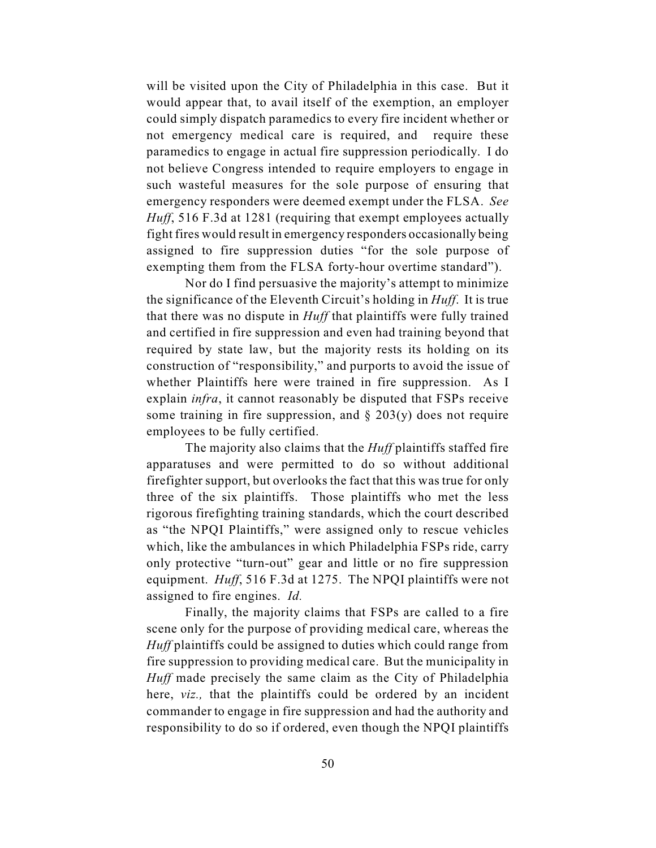will be visited upon the City of Philadelphia in this case. But it would appear that, to avail itself of the exemption, an employer could simply dispatch paramedics to every fire incident whether or not emergency medical care is required, and require these paramedics to engage in actual fire suppression periodically. I do not believe Congress intended to require employers to engage in such wasteful measures for the sole purpose of ensuring that emergency responders were deemed exempt under the FLSA. *See Huff*, 516 F.3d at 1281 (requiring that exempt employees actually fight fires would result in emergency responders occasionally being assigned to fire suppression duties "for the sole purpose of exempting them from the FLSA forty-hour overtime standard").

Nor do I find persuasive the majority's attempt to minimize the significance of the Eleventh Circuit's holding in *Huff*. It is true that there was no dispute in *Huff* that plaintiffs were fully trained and certified in fire suppression and even had training beyond that required by state law, but the majority rests its holding on its construction of "responsibility," and purports to avoid the issue of whether Plaintiffs here were trained in fire suppression. As I explain *infra*, it cannot reasonably be disputed that FSPs receive some training in fire suppression, and  $\S$  203(y) does not require employees to be fully certified.

The majority also claims that the *Huff* plaintiffs staffed fire apparatuses and were permitted to do so without additional firefighter support, but overlooks the fact that this was true for only three of the six plaintiffs. Those plaintiffs who met the less rigorous firefighting training standards, which the court described as "the NPQI Plaintiffs," were assigned only to rescue vehicles which, like the ambulances in which Philadelphia FSPs ride, carry only protective "turn-out" gear and little or no fire suppression equipment. *Huff*, 516 F.3d at 1275. The NPQI plaintiffs were not assigned to fire engines. *Id.*

Finally, the majority claims that FSPs are called to a fire scene only for the purpose of providing medical care, whereas the *Huff* plaintiffs could be assigned to duties which could range from fire suppression to providing medical care. But the municipality in *Huff* made precisely the same claim as the City of Philadelphia here, *viz.,* that the plaintiffs could be ordered by an incident commander to engage in fire suppression and had the authority and responsibility to do so if ordered, even though the NPQI plaintiffs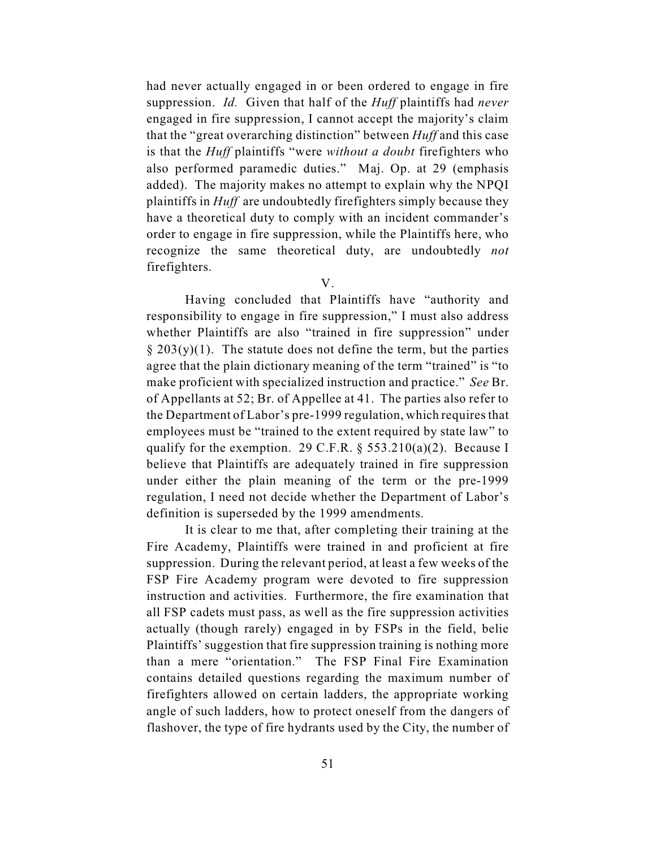had never actually engaged in or been ordered to engage in fire suppression. *Id.* Given that half of the *Huff* plaintiffs had *never* engaged in fire suppression, I cannot accept the majority's claim that the "great overarching distinction" between *Huff* and this case is that the *Huff* plaintiffs "were *without a doubt* firefighters who also performed paramedic duties." Maj. Op. at 29 (emphasis added). The majority makes no attempt to explain why the NPQI plaintiffs in *Huff* are undoubtedly firefighters simply because they have a theoretical duty to comply with an incident commander's order to engage in fire suppression, while the Plaintiffs here, who recognize the same theoretical duty, are undoubtedly *not* firefighters.

V.

Having concluded that Plaintiffs have "authority and responsibility to engage in fire suppression," I must also address whether Plaintiffs are also "trained in fire suppression" under  $\S 203(y)(1)$ . The statute does not define the term, but the parties agree that the plain dictionary meaning of the term "trained" is "to make proficient with specialized instruction and practice." *See* Br. of Appellants at 52; Br. of Appellee at 41. The parties also refer to the Department of Labor's pre-1999 regulation, which requires that employees must be "trained to the extent required by state law" to qualify for the exemption. 29 C.F.R.  $\S$  553.210(a)(2). Because I believe that Plaintiffs are adequately trained in fire suppression under either the plain meaning of the term or the pre-1999 regulation, I need not decide whether the Department of Labor's definition is superseded by the 1999 amendments.

It is clear to me that, after completing their training at the Fire Academy, Plaintiffs were trained in and proficient at fire suppression. During the relevant period, at least a few weeks of the FSP Fire Academy program were devoted to fire suppression instruction and activities. Furthermore, the fire examination that all FSP cadets must pass, as well as the fire suppression activities actually (though rarely) engaged in by FSPs in the field, belie Plaintiffs' suggestion that fire suppression training is nothing more than a mere "orientation." The FSP Final Fire Examination contains detailed questions regarding the maximum number of firefighters allowed on certain ladders, the appropriate working angle of such ladders, how to protect oneself from the dangers of flashover, the type of fire hydrants used by the City, the number of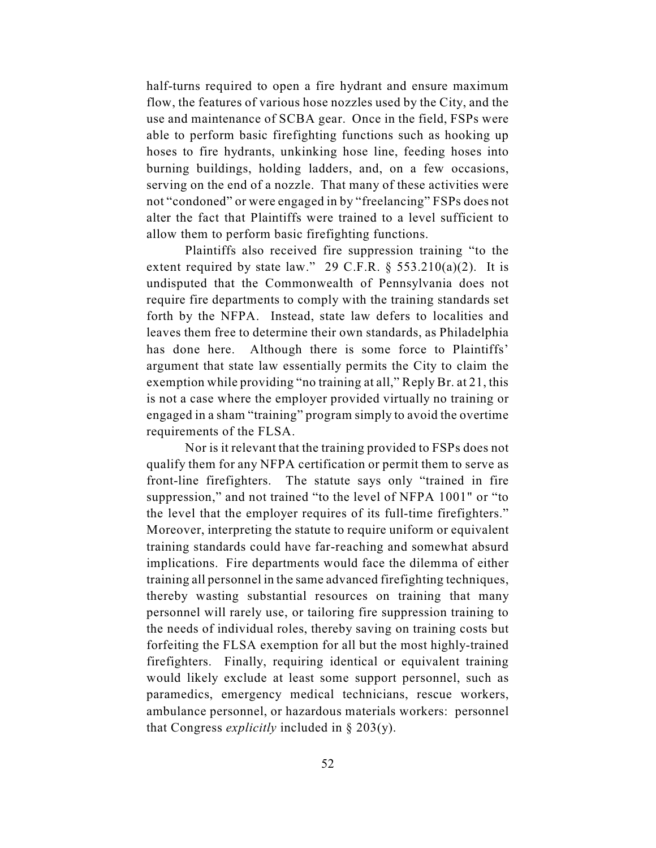half-turns required to open a fire hydrant and ensure maximum flow, the features of various hose nozzles used by the City, and the use and maintenance of SCBA gear. Once in the field, FSPs were able to perform basic firefighting functions such as hooking up hoses to fire hydrants, unkinking hose line, feeding hoses into burning buildings, holding ladders, and, on a few occasions, serving on the end of a nozzle. That many of these activities were not "condoned" or were engaged in by "freelancing" FSPs does not alter the fact that Plaintiffs were trained to a level sufficient to allow them to perform basic firefighting functions.

Plaintiffs also received fire suppression training "to the extent required by state law." 29 C.F.R.  $\S$  553.210(a)(2). It is undisputed that the Commonwealth of Pennsylvania does not require fire departments to comply with the training standards set forth by the NFPA. Instead, state law defers to localities and leaves them free to determine their own standards, as Philadelphia has done here. Although there is some force to Plaintiffs' argument that state law essentially permits the City to claim the exemption while providing "no training at all," Reply Br. at 21, this is not a case where the employer provided virtually no training or engaged in a sham "training" program simply to avoid the overtime requirements of the FLSA.

Nor is it relevant that the training provided to FSPs does not qualify them for any NFPA certification or permit them to serve as front-line firefighters. The statute says only "trained in fire suppression," and not trained "to the level of NFPA 1001" or "to the level that the employer requires of its full-time firefighters." Moreover, interpreting the statute to require uniform or equivalent training standards could have far-reaching and somewhat absurd implications. Fire departments would face the dilemma of either training all personnel in the same advanced firefighting techniques, thereby wasting substantial resources on training that many personnel will rarely use, or tailoring fire suppression training to the needs of individual roles, thereby saving on training costs but forfeiting the FLSA exemption for all but the most highly-trained firefighters. Finally, requiring identical or equivalent training would likely exclude at least some support personnel, such as paramedics, emergency medical technicians, rescue workers, ambulance personnel, or hazardous materials workers: personnel that Congress *explicitly* included in § 203(y).